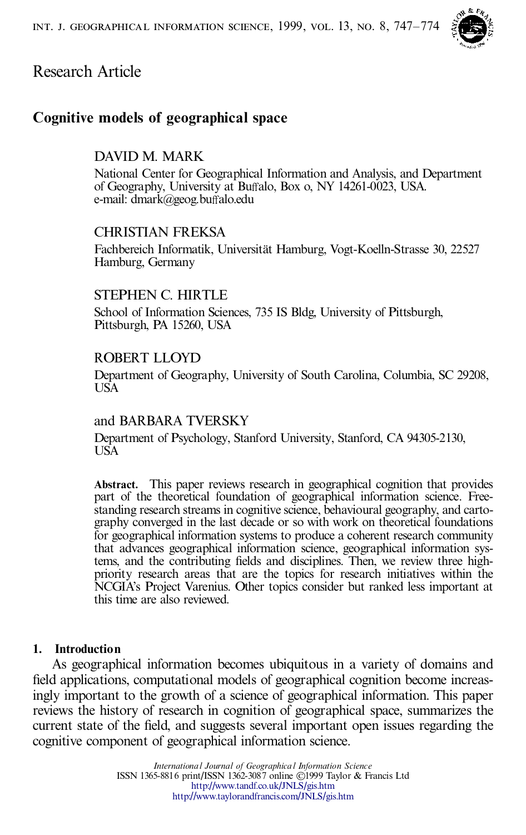

# Research Article

# **Cognitive models of geographical space**

# DAVID M. MARK

National Center for Geographical Information and Analysis, and Department of Geography, University at Buffalo, Box o, NY 14261-0023, USA. e-mail: dmark@geog.buffalo.edu

## CHRISTIAN FREKSA

Fachbereich Informatik, Universität Hamburg, Vogt-Koelln-Strasse 30, 22527 Hamburg, Germany

## STEPHEN C. HIRTLE

School of Information Sciences, 735 IS Bldg, University of Pittsburgh, Pittsburgh, PA 15260, USA

## ROBERT LLOYD

Department of Geography, University of South Carolina, Columbia, SC 29208, USA

## and BARBARA TVERSKY

Department of Psychology, Stanford University, Stanford, CA 94305-2130, USA

**Abstract.** This paper reviews research in geographical cognition that provides part of the theoretical foundation of geographical information science. Free-<br>standing research streams in cognitive science, behavioural geography, and cartography converged in the last decade or so with work on theoretical foundations for geographical information systems to produce a coherent research community that advances geographical information science, geographical information syspriority research areas that are the topics for research initiatives within the NCGIA's Project Varenius. Other topics consider but ranked less important at this time are also reviewed.

### **1. Introduction**

As geographical information becomes ubiquitous in a variety of domains and field applications, computational models of geographical cognition become increasingly important to the growth of a science of geographical information. This paper reviews the history of research in cognition of geographical space, summarizes the current state of the field, and suggests several important open issues regarding the cognitive component of geographical information science.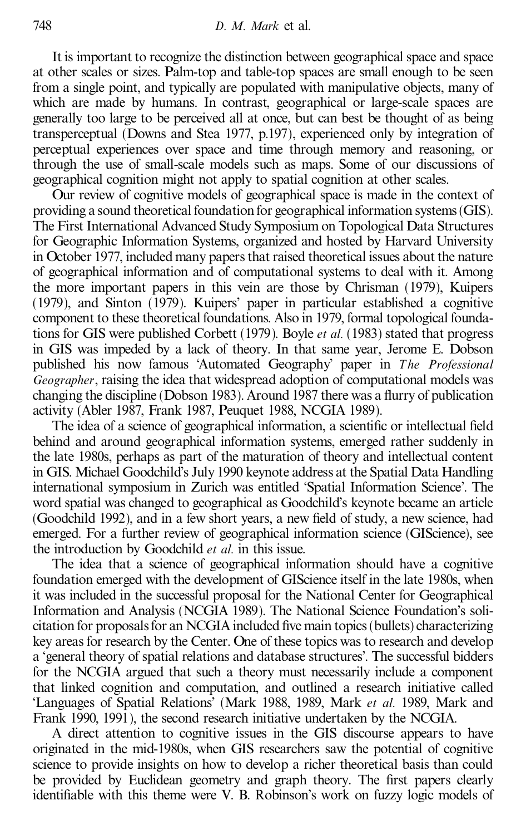It is important to recognize the distinction between geographical space and space at other scales or sizes. Palm-top and table-top spaces are small enough to be seen from a single point, and typically are populated with manipulative objects, many of which are made by humans. In contrast, geographical or large-scale spaces are generally too large to be perceived all at once, but can best be thought of as being transperceptual (Downs and Stea 1977, p.197), experienced only by integration of perceptual experiences over space and time through memory and reasoning, or through the use of small-scale models such as maps. Some of our discussions of geographical cognition might not apply to spatial cognition at other scales.

Our review of cognitive models of geographical space is made in the context of providing a sound theoretical foundationfor geographical information systems(GIS). The First International Advanced Study Symposium on Topological Data Structures for Geographic Information Systems, organized and hosted by Harvard University in October 1977, included many papers that raised theoretical issues about the nature of geographical information and of computational systems to deal with it.Among the more important papers in this vein are those by Chrisman (1979), Kuipers (1979), and Sinton (1979). Kuipers' paper in particular established a cognitive component to these theoretical foundations. Also in 1979, formal topological foundations for GIS were published Corbett (1979). Boyle *et al.* (1983) stated that progress in GIS was impeded by a lack of theory. In that same year, Jerome E. Dobson published his now famous `Automated Geography' paper in *T he Professional Geographer*, raising the idea that widespread adoption of computational models was changing the discipline (Dobson 1983). Around 1987 there was a flurry of publication activity (Abler 1987, Frank 1987, Peuquet 1988, NCGIA 1989).

The idea of a science of geographical information, a scientific or intellectual field behind and around geographical information systems, emerged rather suddenly in the late 1980s, perhaps as part of the maturation of theory and intellectual content in GIS. Michael Goodchild's July 1990 keynote address at the Spatial Data Handling international symposium in Zurich was entitled `Spatial Information Science'. The word spatial was changed to geographical as Goodchild's keynote became an article (Goodchild 1992), and in a few short years, a new field of study, a new science, had emerged. For a further review of geographical information science (GIScience), see the introduction by Goodchild *et al.* in this issue.

The idea that a science of geographical information should have a cognitive foundation emerged with the development of GIScience itself in the late 1980s, when it was included in the successful proposal for the National Center for Geographical Information and Analysis (NCGIA 1989). The National Science Foundation's soli citation for proposals for an NCGIA included five main topics (bullets) characterizing key areas for research by the Center. One of these topics was to research and develop a `general theory of spatial relations and database structures'. The successful bidders for the NCGIA argued that such a theory must necessarily include a component that linked cognition and computation, and outlined a research initiative called `Languages of Spatial Relations' (Mark 1988, 1989, Mark *et al.* 1989, Mark and Frank 1990, 1991), the second research initiative undertaken by the NCGIA.

A direct attention to cognitive issues in the GIS discourse appears to have originated in the mid-1980s, when GIS researchers saw the potential of cognitive science to provide insights on how to develop a richer theoretical basis than could be provided by Euclidean geometry and graph theory. The first papers clearly identifiable with this theme were V. B. Robinson's work on fuzzy logic models of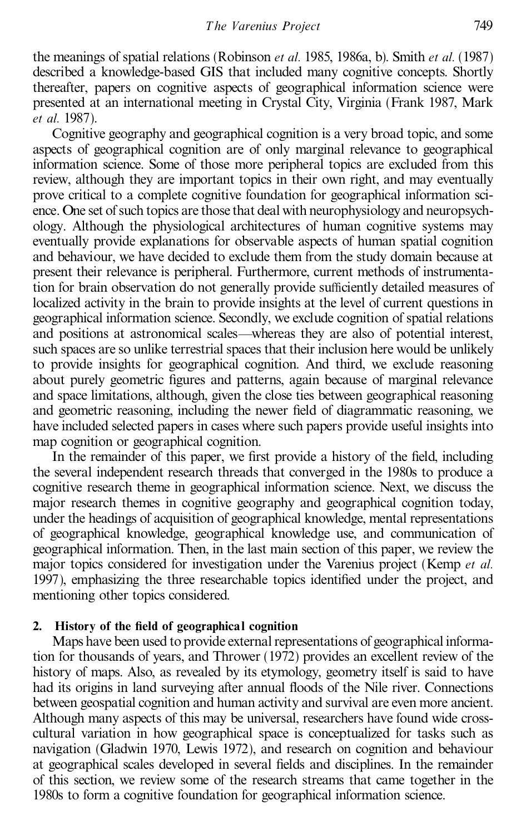the meanings of spatial relations (Robinson *et al.* 1985, 1986a, b). Smith *et al.* (1987) described a knowledge-based GIS that included many cognitive concepts. Shortly thereafter, papers on cognitive aspects of geographical information science were presented at an international meeting in Crystal City, Virginia (Frank 1987, Mark *et al.* 1987).

Cognitive geography and geographical cognition is a very broad topic, and some aspects of geographical cognition are of only marginal relevance to geographical information science. Some of those more peripheral topics are excluded from this review, although they are important topics in their own right, and may eventually prove critical to a complete cognitive foundation for geographical information sci ence. One set of such topics are those that deal with neurophysiology and neuropsychology. Although the physiological architectures of human cognitive systems may eventually provide explanations for observable aspects of human spatial cognition and behaviour, we have decided to exclude them from the study domain because at present their relevance is peripheral. Furthermore, current methods of instrumentation for brain observation do not generally provide sufficiently detailed measures of localized activity in the brain to provide insights at the level of current questions in geographical information science. Secondly, we exclude cognition of spatial relations and positions at astronomical scales—whereas they are also of potential interest, such spaces are so unlike terrestrial spaces that their inclusion here would be unlikely to provide insights for geographical cognition. And third, we exclude reasoning about purely geometric figures and patterns, again because of marginal relevance and space limitations, although, given the close ties between geographical reasoning and geometric reasoning, including the newer field of diagrammatic reasoning, we have included selected papers in cases where such papers provide useful insights into map cognition or geographical cognition.

In the remainder of this paper, we first provide a history of the field, including the several independent research threads that converged in the 1980s to produce a cognitive research theme in geographical information science. Next, we discuss the major research themes in cognitive geography and geographical cognition today, under the headings of acquisition of geographical knowledge, mental representations of geographical knowledge, geographical knowledge use, and communication of geographical information. Then, in the last main section of this paper, we review the major topics considered for investigation under the Varenius project (Kemp *et al.* 1997), emphasizing the three researchable topics identified under the project, and mentioning other topics considered.

### **2. History of the ®eld of geographical cognition**

Maps have been used to provide external representations of geographical information for thousands of years, and Thrower (1972) provides an excellent review of the history of maps. Also, as revealed by its etymology, geometry itself is said to have had its origins in land surveying after annual floods of the Nile river. Connections between geospatial cognition and human activity and survival are even more ancient. Although many aspects of this may be universal, researchers have found wide cross cultural variation in how geographical space is conceptualized for tasks such as navigation (Gladwin 1970, Lewis 1972), and research on cognition and behaviour at geographical scales developed in several fields and disciplines. In the remainder of this section, we review some of the research streams that came together in the 1980s to form a cognitive foundation for geographical information science.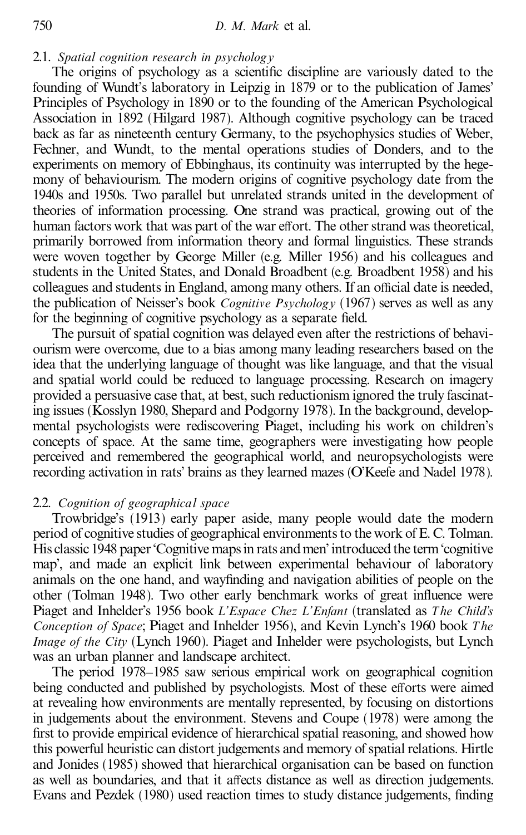#### 2.1. *Spatial cognition research in psychology*

The origins of psychology as a scientific discipline are variously dated to the founding of Wundt's laboratory in Leipzig in 1879 or to the publication of James' Principles of Psychology in 1890 or to the founding of the American Psychological Association in 1892 (Hilgard 1987). Although cognitive psychology can be traced back as far as nineteenth century Germany, to the psychophysics studies of Weber, Fechner, and Wundt, to the mental operations studies of Donders, and to the experiments on memory of Ebbinghaus, its continuity was interrupted by the hege mony of behaviourism. The modern origins of cognitive psychology date from the 1940s and 1950s. Two parallel but unrelated strands united in the development of theories of information processing. One strand was practical, growing out of the human factors work that was part of the war effort. The other strand was theoretical, primarily borrowed from information theory and formal linguistics. These strands were woven together by George Miller (e.g. Miller 1956) and his colleagues and students in the United States, and Donald Broadbent (e.g. Broadbent 1958) and his colleagues and students in England, among many others. If an official date is needed, the publication of Neisser's book *Cognitive Psychology* (1967) serves as well as any for the beginning of cognitive psychology as a separate field.

The pursuit of spatial cognition was delayed even after the restrictions of behavi ourism were overcome, due to a bias among many leading researchers based on the idea that the underlying language of thought was like language, and that the visual and spatial world could be reduced to language processing. Research on imagery provided a persuasive case that, at best, such reductionism ignored the truly fascinating issues (Kosslyn 1980, Shepard and Podgorny 1978). In the background, developmental psychologists were rediscovering Piaget, including his work on children's concepts of space. At the same time, geographers were investigating how people perceived and remembered the geographical world, and neuropsychologists were recording activation in rats' brains as they learned mazes (O'Keefe and Nadel 1978).

### 2.2. *Cognition of geographical space*

Trowbridge's (1913) early paper aside, many people would date the modern period of cognitive studies of geographical environmentsto the work ofE. C. Tolman. His classic 1948 paper 'Cognitive maps in rats and men' introduced the term 'cognitive map', and made an explicit link between experimental behaviour of laboratory animals on the one hand, and wayfinding and navigation abilities of people on the other (Tolman 1948). Two other early benchmark works of great influence were Piaget and Inhelder's 1956 book *L 'Espace Chez L 'Enfant* (translated as *T he Child's Conception of Space*; Piaget and Inhelder 1956), and Kevin Lynch's 1960 book *T he Image of the City* (Lynch 1960). Piaget and Inhelder were psychologists, but Lynch was an urban planner and landscape architect.

The period 1978–1985 saw serious empirical work on geographical cognition being conducted and published by psychologists. Most of these efforts were aimed at revealing how environments are mentally represented, by focusing on distortions in judgements about the environment. Stevens and Coupe (1978) were among the first to provide empirical evidence of hierarchical spatial reasoning, and showed how this powerful heuristic can distort judgements and memory of spatial relations. Hirtle and Jonides (1985) showed that hierarchical organisation can be based on function as well as boundaries, and that it affects distance as well as direction judgements. Evans and Pezdek (1980) used reaction times to study distance judgements, finding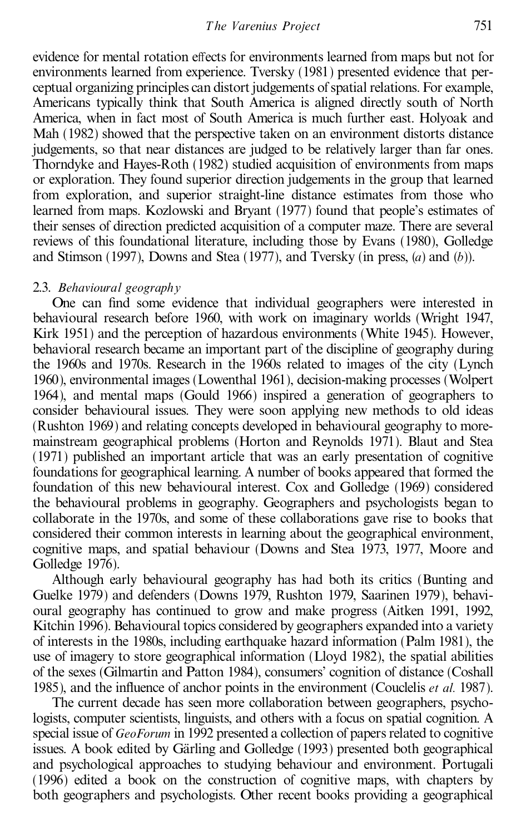evidence for mental rotation effects for environments learned from maps but not for environments learned from experience. Tversky (1981) presented evidence that per ceptual organizing principles can distort judgements of spatial relations. For example, Americans typically think that South America is aligned directly south of North America, when in fact most of South America is much further east. Holyoak and Mah (1982) showed that the perspective taken on an environment distorts distance judgements, so that near distances are judged to be relatively larger than far ones. Thorndyke and Hayes-Roth (1982) studied acquisition of environments from maps or exploration. They found superior direction judgements in the group that learned from exploration, and superior straight-line distance estimates from those who learned from maps. Kozlowski and Bryant (1977) found that people's estimates of their senses of direction predicted acquisition of a computer maze. There are several reviews of this foundational literature, including those by Evans (1980), Golledge and Stimson (1997), Downs and Stea (1977), and Tversky (in press, (*a*) and (*b*)).

#### 2.3. *Behavioural geography*

One can find some evidence that individual geographers were interested in behavioural research before 1960, with work on imaginary worlds (Wright 1947, Kirk 1951) and the perception of hazardous environments (White 1945). However, behavioral research became an important part of the discipline of geography during the 1960s and 1970s. Research in the 1960s related to images of the city (Lynch 1960), environmental images (Lowenthal 1961), decision-making processes (Wolpert 1964), and mental maps (Gould 1966) inspired a generation of geographers to consider behavioural issues. They were soon applying new methods to old ideas (Rushton 1969) and relating concepts developed in behavioural geography to more mainstream geographical problems (Horton and Reynolds 1971). Blaut and Stea (1971) published an important article that was an early presentation of cognitive foundations for geographical learning. A number of books appeared that formed the foundation of this new behavioural interest. Cox and Golledge (1969) considered the behavioural problems in geography. Geographers and psychologists began to collaborate in the 1970s, and some of these collaborations gave rise to books that considered their common interests in learning about the geographical environment, cognitive maps, and spatial behaviour (Downs and Stea 1973, 1977, Moore and Golledge 1976).

Although early behavioural geography has had both its critics (Bunting and Guelke 1979) and defenders (Downs 1979, Rushton 1979, Saarinen 1979), behavi oural geography has continued to grow and make progress (Aitken 1991, 1992, Kitchin 1996). Behavioural topics considered by geographers expanded into a variety of interests in the 1980s, including earthquake hazard information (Palm 1981), the use of imagery to store geographical information (Lloyd 1982), the spatial abilities of the sexes (Gilmartin and Patton 1984), consumers' cognition of distance (Coshall 1985), and the influence of anchor points in the environment (Couclelis *et al.* 1987).

The current decade has seen more collaboration between geographers, psychologists, computer scientists, linguists, and others with a focus on spatial cognition. A special issue of *GeoForum* in 1992 presented a collection of papers related to cognitive issues. A book edited by Gärling and Golledge (1993) presented both geographical and psychological approaches to studying behaviour and environment. Portugali (1996) edited a book on the construction of cognitive maps, with chapters by both geographers and psychologists. Other recent books providing a geographical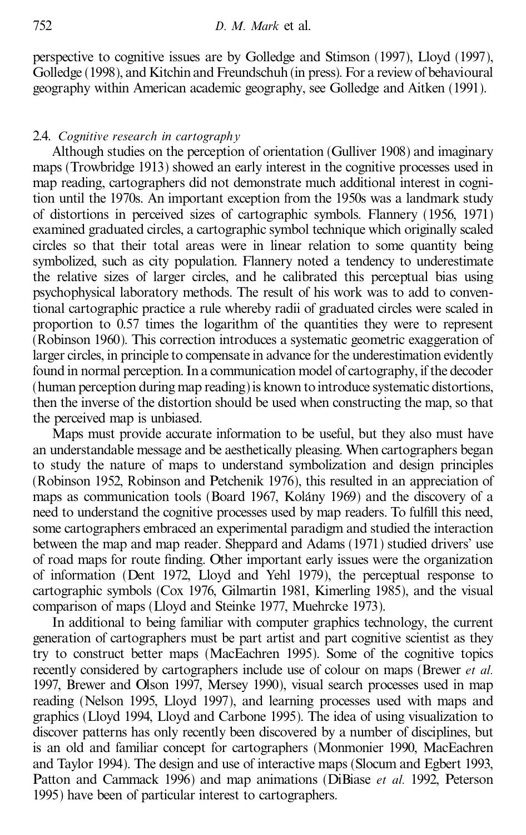perspective to cognitive issues are by Golledge and Stimson (1997), Lloyd (1997), Golledge (1998), and Kitchin and Freundschuh (in press). For a review of behavioural geography within American academic geography, see Golledge and Aitken (1991).

## 2.4. *Cognitive research in cartography*

Although studies on the perception of orientation (Gulliver 1908) and imaginary maps (Trowbridge 1913) showed an early interest in the cognitive processes used in map reading, cartographers did not demonstrate much additional interest in cognition until the 1970s. An important exception from the 1950s was a landmark study of distortions in perceived sizes of cartographic symbols. Flannery (1956, 1971) examined graduated circles, a cartographic symbol technique which originally scaled circles so that their total areas were in linear relation to some quantity being symbolized, such as city population. Flannery noted a tendency to underestimate the relative sizes of larger circles, and he calibrated this perceptual bias using psychophysical laboratory methods. The result of his work was to add to conventional cartographic practice a rule whereby radii of graduated circles were scaled in proportion to 0.57 times the logarithm of the quantities they were to represent (Robinson 1960). This correction introduces a systematic geometric exaggeration of larger circles, in principle to compensate in advance for the underestimation evidently found in normal perception.In a communication model of cartography, if the decoder (human perception during map reading) is known to introduce systematic distortions, then the inverse of the distortion should be used when constructing the map, so that the perceived map is unbiased.

Maps must provide accurate information to be useful, but they also must have an understandable message and be aesthetically pleasing. When cartographers began to study the nature of maps to understand symbolization and design principles (Robinson 1952, Robinson and Petchenik 1976), this resulted in an appreciation of maps as communication tools (Board 1967, Kolány 1969) and the discovery of a need to understand the cognitive processes used by map readers. To fulfill this need, some cartographers embraced an experimental paradigm and studied the interaction between the map and map reader. Sheppard and Adams (1971) studied drivers' use of road maps for route finding. Other important early issues were the organization of information (Dent 1972, Lloyd and Yehl 1979), the perceptual response to cartographic symbols (Cox 1976, Gilmartin 1981, Kimerling 1985), and the visual comparison of maps (Lloyd and Steinke 1977, Muehrcke 1973).

In additional to being familiar with computer graphics technology, the current generation of cartographers must be part artist and part cognitive scientist as they try to construct better maps (MacEachren 1995). Some of the cognitive topics recently considered by cartographers include use of colour on maps (Brewer *et al.* 1997, Brewer and Olson 1997, Mersey 1990), visual search processes used in map reading (Nelson 1995, Lloyd 1997), and learning processes used with maps and graphics (Lloyd 1994, Lloyd and Carbone 1995). The idea of using visualization to discover patterns has only recently been discovered by a number of disciplines, but is an old and familiar concept for cartographers (Monmonier 1990, MacEachren and Taylor 1994). The design and use of interactive maps (Slocum and Egbert 1993, Patton and Cammack 1996) and map animations (DiBiase *et al.* 1992, Peterson 1995) have been of particular interest to cartographers.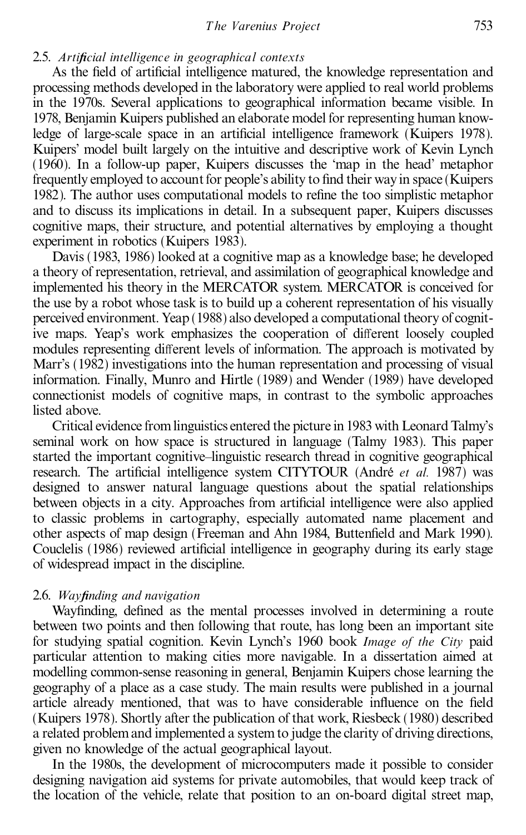#### 2.5. *Arti®cial intelligence in geographical contexts*

As the field of artificial intelligence matured, the knowledge representation and processing methods developed in the laboratory were applied to real world problems in the 1970s. Several applications to geographical information became visible. In 1978, Benjamin Kuipers published an elaborate model for representing human knowledge of large-scale space in an artificial intelligence framework (Kuipers 1978). Kuipers' model built largely on the intuitive and descriptive work of Kevin Lynch (1960). In a follow-up paper, Kuipers discusses the `map in the head' metaphor frequently employed to account for people's ability to find their way in space (Kuipers 1982). The author uses computational models to refine the too simplistic metaphor and to discuss its implications in detail. In a subsequent paper, Kuipers discusses cognitive maps, their structure, and potential alternatives by employing a thought experiment in robotics (Kuipers 1983).

Davis (1983, 1986) looked at a cognitive map as a knowledge base; he developed a theory of representation, retrieval, and assimilation of geographical knowledge and implemented his theory in the MERCATOR system. MERCATOR is conceived for the use by a robot whose task is to build up a coherent representation of his visually perceived environment. Yeap (1988) also developed a computational theory of cognitive maps. Yeap's work emphasizes the cooperation of different loosely coupled modules representing different levels of information. The approach is motivated by Marr's (1982) investigations into the human representation and processing of visual information. Finally, Munro and Hirtle (1989) and Wender (1989) have developed connectionist models of cognitive maps, in contrast to the symbolic approaches listed above.

Critical evidence from linguistics entered the picture in 1983 with Leonard Talmy's seminal work on how space is structured in language (Talmy 1983). This paper started the important cognitive-linguistic research thread in cognitive geographical research. The artificial intelligence system CITYTOUR (André *et al.* 1987) was designed to answer natural language questions about the spatial relationships between objects in a city. Approaches from artificial intelligence were also applied to classic problems in cartography, especially automated name placement and other aspects of map design (Freeman and Ahn 1984, Buttenfield and Mark 1990). Couclelis (1986) reviewed artificial intelligence in geography during its early stage of widespread impact in the discipline.

### 2.6. *Way®nding and navigation*

Wayfinding, defined as the mental processes involved in determining a route between two points and then following that route, has long been an important site for studying spatial cognition. Kevin Lynch's 1960 book *Image of the City* paid particular attention to making cities more navigable. In a dissertation aimed at modelling common-sense reasoning in general, Benjamin Kuipers chose learning the geography of a place as a case study. The main results were published in a journal article already mentioned, that was to have considerable influence on the field (Kuipers 1978). Shortly after the publication of that work, Riesbeck (1980) described a related problemand implemented a systemto judge the clarity of driving directions, given no knowledge of the actual geographical layout.

In the 1980s, the development of microcomputers made it possible to consider designing navigation aid systems for private automobiles, that would keep track of the location of the vehicle, relate that position to an on-board digital street map,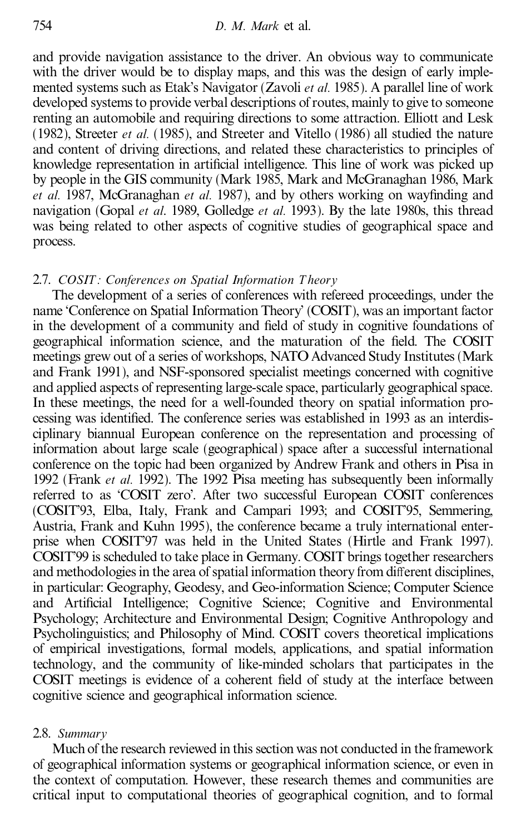and provide navigation assistance to the driver. An obvious way to communicate with the driver would be to display maps, and this was the design of early implemented systems such as Etak's Navigator (Zavoli *et al.* 1985). A parallel line of work developed systems to provide verbal descriptions of routes, mainly to give to someone renting an automobile and requiring directions to some attraction. Elliott and Lesk (1982), Streeter *et al.* (1985), and Streeter and Vitello (1986) all studied the nature and content of driving directions, and related these characteristics to principles of knowledge representation in artificial intelligence. This line of work was picked up by people in the GIS community (Mark 1985, Mark and McGranaghan 1986, Mark *et al.* 1987, McGranaghan *et al.* 1987), and by others working on wayfinding and navigation (Gopal *et al*. 1989, Golledge *et al.* 1993). By the late 1980s, this thread was being related to other aspects of cognitive studies of geographical space and process.

#### 2.7. *COSIT : Conferences on Spatial Information T heory*

The development of a series of conferences with refereed proceedings, under the name 'Conference on Spatial Information Theory' (COSIT), was an important factor in the development of a community and field of study in cognitive foundations of geographical information science, and the maturation of the field. The COSIT meetings grew out of a series of workshops, NATO Advanced Study Institutes (Mark and Frank 1991), and NSF-sponsored specialist meetings concerned with cognitive and applied aspects of representing large-scale space, particularly geographical space. In these meetings, the need for a well-founded theory on spatial information pro cessing was identified. The conference series was established in 1993 as an interdisciplinary biannual European conference on the representation and processing of information about large scale (geographical) space after a successful international conference on the topic had been organized by Andrew Frank and others in Pisa in 1992 (Frank *et al.* 1992). The 1992 Pisa meeting has subsequently been informally referred to as `COSIT zero'. After two successful European COSIT conferences (COSIT'93, Elba, Italy, Frank and Campari 1993; and COSIT'95, Semmering, Austria, Frank and Kuhn 1995), the conference became a truly international enter prise when COSIT'97 was held in the United States (Hirtle and Frank 1997). COSIT'99 isscheduled to take place in Germany. COSIT brings together researchers and methodologies in the area of spatial information theory from different disciplines. in particular: Geography, Geodesy, and Geo-information Science; Computer Science and Artificial Intelligence; Cognitive Science; Cognitive and Environmental Psychology; Architecture and Environmental Design; Cognitive Anthropology and Psycholinguistics; and Philosophy of Mind. COSIT covers theoretical implications of empirical investigations, formal models, applications, and spatial information technology, and the community of like-minded scholars that participates in the COSIT meetings is evidence of a coherent field of study at the interface between cognitive science and geographical information science.

### 2.8. *Summary*

Much of the research reviewed in this section was not conducted in the framework of geographical information systems or geographical information science, or even in the context of computation. However, these research themes and communities are critical input to computational theories of geographical cognition, and to formal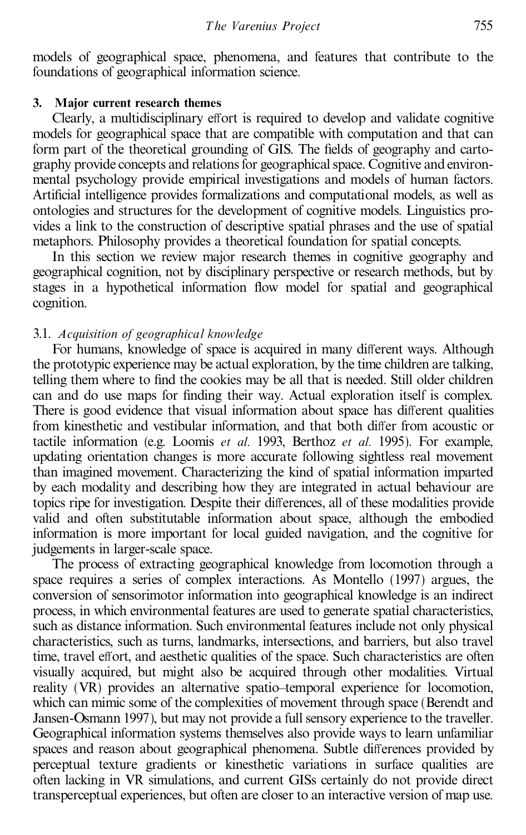models of geographical space, phenomena, and features that contribute to the foundations of geographical information science.

### **3. Major current research themes**

Clearly, a multidisciplinary effort is required to develop and validate cognitive models for geographical space that are compatible with computation and that can form part of the theoretical grounding of GIS. The fields of geography and cartography provide concepts and relationsfor geographicalspace. Cognitive andenviron mental psychology provide empirical investigations and models of human factors. Artificial intelligence provides formalizations and computational models, as well as ontologies and structures for the development of cognitive models. Linguistics pro vides a link to the construction of descriptive spatial phrases and the use of spatial metaphors. Philosophy provides a theoretical foundation for spatial concepts.

In this section we review major research themes in cognitive geography and geographical cognition, not by disciplinary perspective or research methods, but by stages in a hypothetical information flow model for spatial and geographical cognition.

#### 3.1. *Acquisition of geographical knowledge*

For humans, knowledge of space is acquired in many different ways. Although the prototypic experience may be actual exploration, by the time children are talking, telling them where to find the cookies may be all that is needed. Still older children can and do use maps for finding their way. Actual exploration itself is complex. There is good evidence that visual information about space has different qualities from kinesthetic and vestibular information, and that both differ from acoustic or tactile information (e.g. Loomis *et al.* 1993, Berthoz *et al.* 1995). For example, updating orientation changes is more accurate following sightless real movement than imagined movement. Characterizing the kind of spatial information imparted by each modality and describing how they are integrated in actual behaviour are topics ripe for investigation. Despite their differences, all of these modalities provide valid and often substitutable information about space, although the embodied information is more important for local guided navigation, and the cognitive for judgements in larger-scale space.

The process of extracting geographical knowledge from locomotion through a space requires a series of complex interactions. As Montello (1997) argues, the conversion of sensorimotor information into geographical knowledge is an indirect process, in which environmental features are used to generate spatial characteristics, such as distance information. Such environmental features include not only physical characteristics, such as turns, landmarks, intersections, and barriers, but also travel time, travel effort, and aesthetic qualities of the space. Such characteristics are often visually acquired, but might also be acquired through other modalities. Virtual reality (VR) provides an alternative spatio-temporal experience for locomotion, which can mimic some of the complexities of movement through space (Berendt and Jansen-Osmann 1997), but may not provide a full sensory experience to the traveller. Geographical information systems themselves also provide ways to learn unfamiliar spaces and reason about geographical phenomena. Subtle differences provided by perceptual texture gradients or kinesthetic variations in surface qualities are often lacking in VR simulations, and current GISs certainly do not provide direct transperceptual experiences, but often are closer to an interactive version of map use.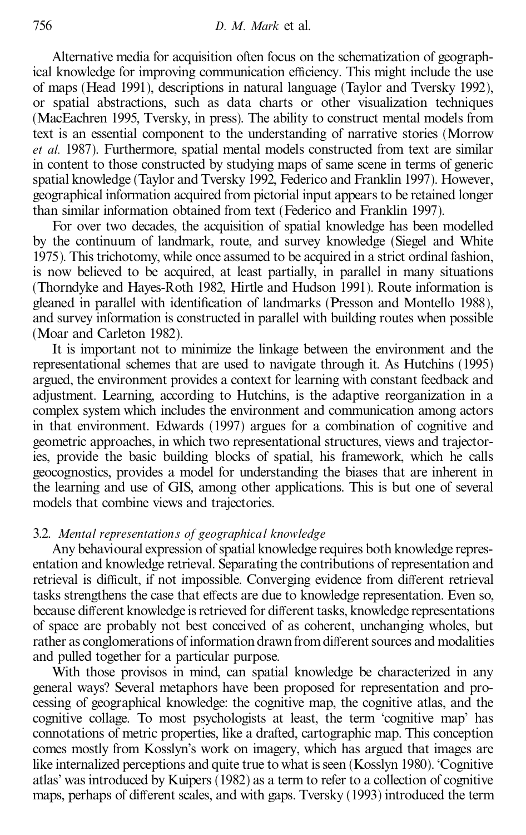Alternative media for acquisition often focus on the schematization of geographical knowledge for improving communication efficiency. This might include the use of maps (Head 1991), descriptions in natural language (Taylor and Tversky 1992), or spatial abstractions, such as data charts or other visualization techniques (MacEachren 1995, Tversky, in press). The ability to construct mental models from text is an essential component to the understanding of narrative stories (Morrow *et al.* 1987). Furthermore, spatial mental models constructed from text are similar in content to those constructed by studying maps of same scene in terms of generic spatial knowledge (Taylor and Tversky 1992, Federico and Franklin 1997). However, geographical information acquired from pictorial input appears to be retained longer than similar information obtained from text (Federico and Franklin 1997).

For over two decades, the acquisition of spatial knowledge has been modelled by the continuum of landmark, route, and survey knowledge (Siegel and White 1975). This trichotomy, while once assumed to be acquired in a strict ordinal fashion, is now believed to be acquired, at least partially, in parallel in many situations (Thorndyke and Hayes-Roth 1982, Hirtle and Hudson 1991). Route information is gleaned in parallel with identification of landmarks (Presson and Montello 1988), and survey information is constructed in parallel with building routes when possible (Moar and Carleton 1982).

It is important not to minimize the linkage between the environment and the representational schemes that are used to navigate through it.As Hutchins (1995) argued, the environment provides a context for learning with constant feedback and adjustment. Learning, according to Hutchins, is the adaptive reorganization in a complex system which includes the environment and communication among actors in that environment. Edwards (1997) argues for a combination of cognitive and geometric approaches, in which two representational structures, views and trajectories, provide the basic building blocks of spatial, his framework, which he calls geocognostics, provides a model for understanding the biases that are inherent in the learning and use of GIS, among other applications. This is but one of several models that combine views and trajectories.

### 3.2. *Mental representations of geographical knowledge*

Any behavioural expression of spatial knowledge requires both knowledge representation and knowledge retrieval. Separating the contributions of representation and retrieval is difficult, if not impossible. Converging evidence from different retrieval tasks strengthens the case that effects are due to knowledge representation. Even so, because different knowledge is retrieved for different tasks, knowledge representations of space are probably not best conceived of as coherent, unchanging wholes, but rather as conglomerations of information drawn from different sources and modalities and pulled together for a particular purpose.

With those provisos in mind, can spatial knowledge be characterized in any general ways? Several metaphors have been proposed for representation and pro cessing of geographical knowledge: the cognitive map, the cognitive atlas, and the cognitive collage. To most psychologists at least, the term `cognitive map' has connotations of metric properties, like a drafted, cartographic map. This conception comes mostly from Kosslyn's work on imagery, which has argued that images are like internalized perceptions and quite true to what isseen (Kosslyn 1980). `Cognitive atlas' was introduced by Kuipers (1982) as a term to refer to a collection of cognitive maps, perhaps of different scales, and with gaps. Tversky (1993) introduced the term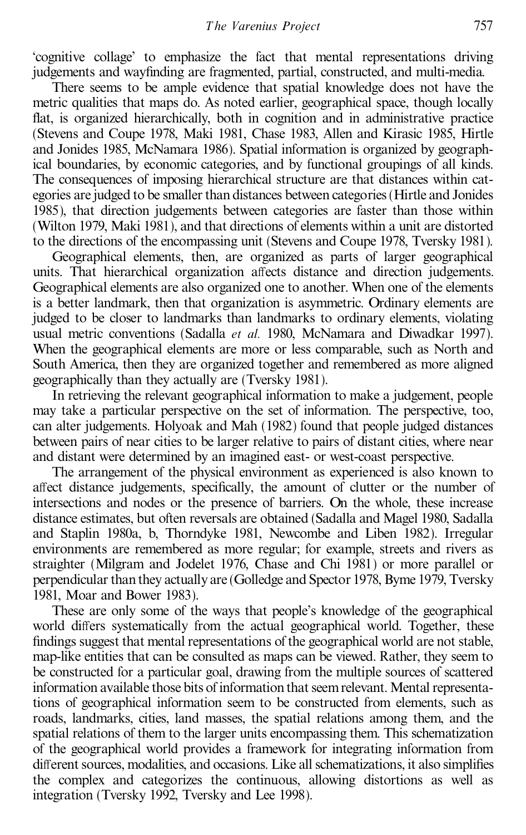`cognitive collage' to emphasize the fact that mental representations driving judgements and wayfinding are fragmented, partial, constructed, and multi-media.

There seems to be ample evidence that spatial knowledge does not have the metric qualities that maps do. As noted earlier, geographical space, though locally flat, is organized hierarchically, both in cognition and in administrative practice (Stevens and Coupe 1978, Maki 1981, Chase 1983, Allen and Kirasic 1985, Hirtle and Jonides 1985, McNamara 1986). Spatial information is organized by geographical boundaries, by economic categories, and by functional groupings of all kinds. The consequences of imposing hierarchical structure are that distances within cat egories are judged to be smaller than distances between categories (Hirtle and Jonides 1985), that direction judgements between categories are faster than those within (Wilton 1979, Maki 1981), and that directions of elements within a unit are distorted to the directions of the encompassing unit (Stevens and Coupe 1978, Tversky 1981).

Geographical elements, then, are organized as parts of larger geographical units. That hierarchical organization affects distance and direction judgements. Geographical elements are also organized one to another. When one of the elements is a better landmark, then that organization is asymmetric. Ordinary elements are judged to be closer to landmarks than landmarks to ordinary elements, violating usual metric conventions (Sadalla *et al.* 1980, McNamara and Diwadkar 1997). When the geographical elements are more or less comparable, such as North and South America, then they are organized together and remembered as more aligned geographically than they actually are (Tversky 1981).

In retrieving the relevant geographical information to make a judgement, people may take a particular perspective on the set of information. The perspective, too, can alter judgements. Holyoak and Mah (1982) found that people judged distances between pairs of near cities to be larger relative to pairs of distant cities, where near and distant were determined by an imagined east- or west-coast perspective.

The arrangement of the physical environment as experienced is also known to affect distance judgements, specifically, the amount of clutter or the number of intersections and nodes or the presence of barriers. On the whole, these increase distance estimates, but often reversals are obtained (Sadalla and Magel 1980, Sadalla and Staplin 1980a, b, Thorndyke 1981, Newcombe and Liben 1982). Irregular environments are remembered as more regular; for example, streets and rivers as straighter (Milgram and Jodelet 1976, Chase and Chi 1981) or more parallel or perpendicularthanthey actually are (Golledge and Spector 1978, Byme 1979, Tversky 1981, Moar and Bower 1983).

These are only some of the ways that people's knowledge of the geographical world differs systematically from the actual geographical world. Together, these findings suggest that mental representations of the geographical world are not stable, map-like entities that can be consulted as maps can be viewed. Rather, they seem to be constructed for a particular goal, drawing from the multiple sources of scattered information available those bits of information that seem relevant. Mental representations of geographical information seem to be constructed from elements, such as roads, landmarks, cities, land masses, the spatial relations among them, and the spatial relations of them to the larger units encompassing them. This schematization of the geographical world provides a framework for integrating information from different sources, modalities, and occasions. Like all schematizations, it also simplifies the complex and categorizes the continuous, allowing distortions as well as integration (Tversky 1992, Tversky and Lee 1998).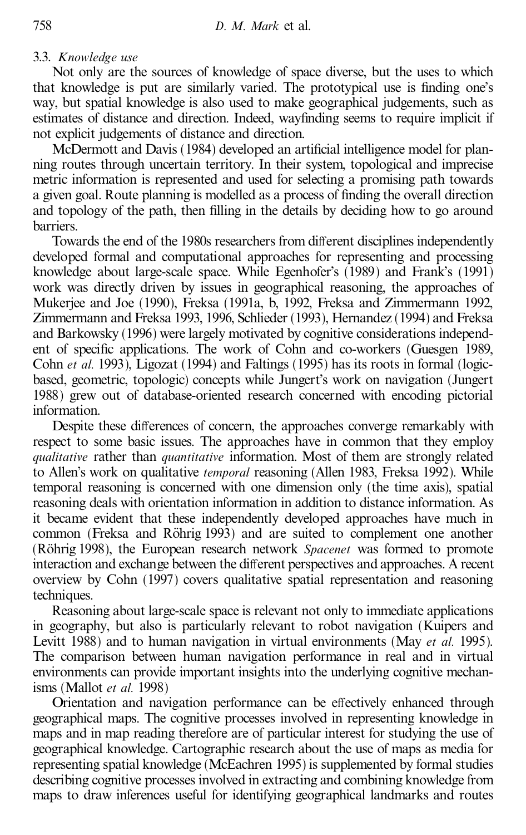## 3.3. *Knowledge use*

Not only are the sources of knowledge of space diverse, but the uses to which that knowledge is put are similarly varied. The prototypical use is finding one's way, but spatial knowledge is also used to make geographical judgements, such as estimates of distance and direction. Indeed, wayfinding seems to require implicit if not explicit judgements of distance and direction.

McDermott and Davis (1984) developed an artificial intelligence model for planning routes through uncertain territory. In their system, topological and imprecise metric information is represented and used for selecting a promising path towards a given goal. Route planning is modelled as a process of finding the overall direction and topology of the path, then filling in the details by deciding how to go around barriers.

Towards the end of the 1980s researchers from different disciplines independently developed formal and computational approaches for representing and processing knowledge about large-scale space. While Egenhofer's (1989) and Frank's (1991) work was directly driven by issues in geographical reasoning, the approaches of Mukerjee and Joe (1990), Freksa (1991a, b, 1992, Freksa and Zimmermann 1992, Zimmermann and Freksa 1993, 1996, Schlieder (1993), Hernandez (1994) and Freksa and Barkowsky (1996) were largely motivated by cognitive considerations independ ent of specific applications. The work of Cohn and co-workers (Guesgen 1989, Cohn *et al.* 1993), Ligozat (1994) and Faltings (1995) has its roots in formal (logic based, geometric, topologic) concepts while Jungert's work on navigation (Jungert 1988) grew out of database-oriented research concerned with encoding pictorial information.

Despite these differences of concern, the approaches converge remarkably with respect to some basic issues. The approaches have in common that they employ *qualitative* rather than *quantitative* information. Most of them are strongly related to Allen's work on qualitative *temporal* reasoning (Allen 1983, Freksa 1992). While temporal reasoning is concerned with one dimension only (the time axis), spatial reasoning deals with orientation information in addition to distance information. As it became evident that these independently developed approaches have much in common (Freksa and Röhrig 1993) and are suited to complement one another (Röhrig 1998), the European research network *Spacenet* was formed to promote interaction and exchange between the different perspectives and approaches. A recent overview by Cohn (1997) covers qualitative spatial representation and reasoning techniques.

Reasoning about large-scale space is relevant not only to immediate applications in geography, but also is particularly relevant to robot navigation (Kuipers and Levitt 1988) and to human navigation in virtual environments (May *et al.* 1995). The comparison between human navigation performance in real and in virtual environments can provide important insights into the underlying cognitive mechanisms (Mallot *et al.* 1998)

Orientation and navigation performance can be effectively enhanced through geographical maps. The cognitive processes involved in representing knowledge in maps and in map reading therefore are of particular interest for studying the use of geographical knowledge. Cartographic research about the use of maps as media for representing spatial knowledge (McEachren 1995) is supplemented by formal studies describing cognitive processes involved in extracting and combining knowledge from maps to draw inferences useful for identifying geographical landmarks and routes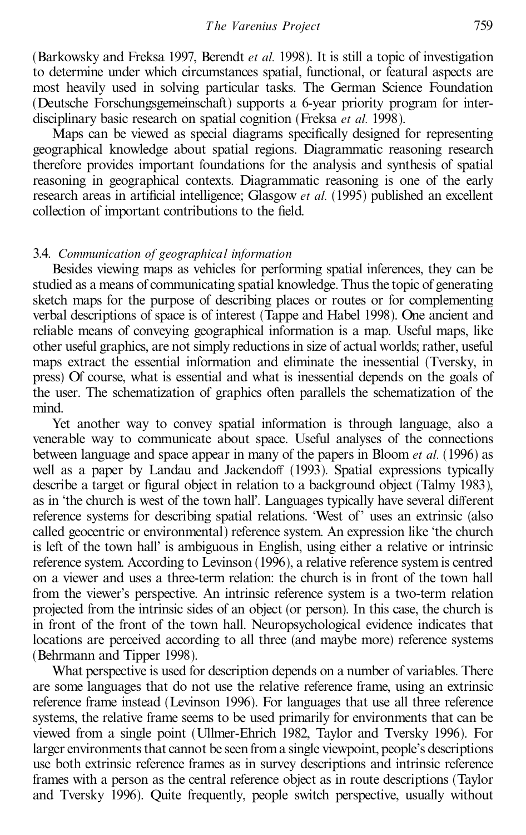(Barkowsky and Freksa 1997, Berendt *et al.* 1998). It is still a topic of investigation to determine under which circumstances spatial, functional, or featural aspects are most heavily used in solving particular tasks. The German Science Foundation (Deutsche Forschungsgemeinschaft) supports a 6-year priority program for inter disciplinary basic research on spatial cognition (Freksa *et al.* 1998).

Maps can be viewed as special diagrams specifically designed for representing geographical knowledge about spatial regions. Diagrammatic reasoning research therefore provides important foundations for the analysis and synthesis of spatial reasoning in geographical contexts. Diagrammatic reasoning is one of the early research areas in artificial intelligence; Glasgow *et al.* (1995) published an excellent collection of important contributions to the field.

#### 3.4. *Communication of geographical information*

Besides viewing maps as vehicles for performing spatial inferences, they can be studied as a means of communicating spatial knowledge. Thus the topic of generating sketch maps for the purpose of describing places or routes or for complementing verbal descriptions of space is of interest (Tappe and Habel 1998). One ancient and reliable means of conveying geographical information is a map. Useful maps, like other useful graphics, are not simply reductions in size of actual worlds; rather, useful maps extract the essential information and eliminate the inessential (Tversky, in press) Of course, what is essential and what is inessential depends on the goals of the user. The schematization of graphics often parallels the schematization of the mind.

Yet another way to convey spatial information is through language, also a venerable way to communicate about space. Useful analyses of the connections between language and space appear in many of the papers in Bloom *et al.* (1996) as well as a paper by Landau and Jackendoff  $(1993)$ . Spatial expressions typically describe a target or figural object in relation to a background object (Talmy 1983), as in 'the church is west of the town hall'. Languages typically have several different reference systems for describing spatial relations. `West of' uses an extrinsic (also called geocentric or environmental) reference system. An expression like `the church is left of the town hall' is ambiguous in English, using either a relative or intrinsic reference system. According to Levinson (1996), a relative reference system is centred on a viewer and uses a three-term relation: the church is in front of the town hall from the viewer's perspective. An intrinsic reference system is a two-term relation projected from the intrinsic sides of an object (or person). In this case, the church is in front of the front of the town hall. Neuropsychological evidence indicates that locations are perceived according to all three (and maybe more) reference systems (Behrmann and Tipper 1998).

What perspective is used for description depends on a number of variables. There are some languages that do not use the relative reference frame, using an extrinsic reference frame instead (Levinson 1996). For languages that use all three reference systems, the relative frame seems to be used primarily for environments that can be viewed from a single point (Ullmer-Ehrich 1982, Taylor and Tversky 1996). For larger environments that cannot be seen from a single viewpoint, people's descriptions use both extrinsic reference frames as in survey descriptions and intrinsic reference frames with a person as the central reference object as in route descriptions (Taylor and Tversky 1996). Quite frequently, people switch perspective, usually without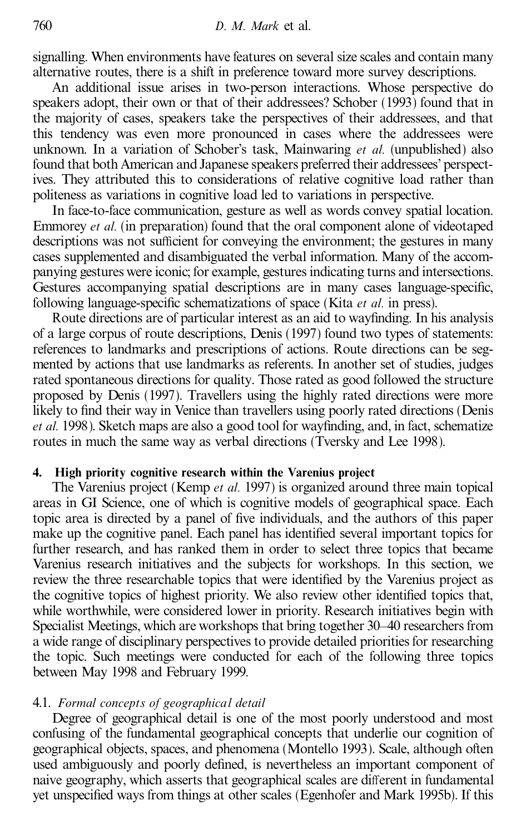signalling. When environments have features on several size scales and contain many alternative routes, there is a shift in preference toward more survey descriptions.

An additional issue arises in two-person interactions. Whose perspective do speakers adopt, their own or that of their addressees? Schober (1993) found that in the majority of cases, speakers take the perspectives of their addressees, and that this tendency was even more pronounced in cases where the addressees were unknown. In a variation of Schober's task, Mainwaring *et al.* (unpublished) also found that both American and Japanese speakers preferred their addressees' perspectives. They attributed this to considerations of relative cognitive load rather than politeness as variations in cognitive load led to variations in perspective.

In face-to-face communication, gesture as well as words convey spatial location. Emmorey *et al.* (in preparation) found that the oral component alone of videotaped descriptions was not sufficient for conveying the environment; the gestures in many cases supplemented and disambiguated the verbal information. Many of the accom panying gestures were iconic; for example, gestures indicating turns and intersections. Gestures accompanying spatial descriptions are in many cases language-specific, following language-specific schematizations of space (Kita *et al.* in press).

Route directions are of particular interest as an aid to wayfinding. In his analysis of a large corpus of route descriptions, Denis (1997) found two types of statements: references to landmarks and prescriptions of actions. Route directions can be seg mented by actions that use landmarks as referents. In another set of studies, judges rated spontaneous directions for quality. Those rated as good followed the structure proposed by Denis (1997). Travellers using the highly rated directions were more likely to find their way in Venice than travellers using poorly rated directions (Denis *et al.* 1998). Sketch maps are also a good tool for wayfinding, and, in fact, schematize routes in much the same way as verbal directions (Tversky and Lee 1998).

#### **4. High priority cognitive research within the Varenius project**

The Varenius project (Kemp *et al.* 1997) is organized around three main topical areas in GI Science, one of which is cognitive models of geographical space. Each topic area is directed by a panel of five individuals, and the authors of this paper make up the cognitive panel. Each panel has identified several important topics for further research, and has ranked them in order to select three topics that became Varenius research initiatives and the subjects for workshops. In this section, we review the three researchable topics that were identified by the Varenius project as the cognitive topics of highest priority. We also review other identified topics that, while worthwhile, were considered lower in priority. Research initiatives begin with Specialist Meetings, which are workshops that bring together 30–40 researchers from a wide range of disciplinary perspectives to provide detailed priorities for researching the topic. Such meetings were conducted for each of the following three topics between May 1998 and February 1999.

### 4.1. *Formal concepts of geographical detail*

Degree of geographical detail is one of the most poorly understood and most confusing of the fundamental geographical concepts that underlie our cognition of geographical objects, spaces, and phenomena (Montello 1993). Scale, although often used ambiguously and poorly defined, is nevertheless an important component of naive geography, which asserts that geographical scales are different in fundamental yet unspecified ways from things at other scales (Egenhofer and Mark 1995b). If this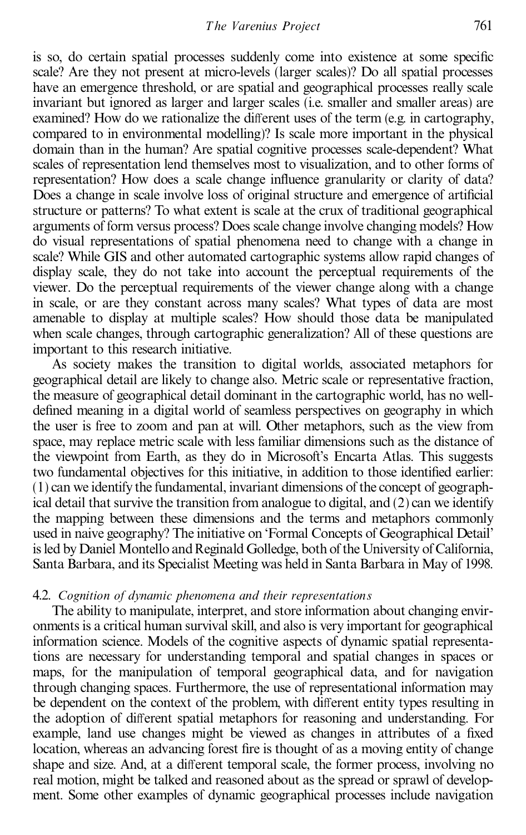is so, do certain spatial processes suddenly come into existence at some specific scale? Are they not present at micro-levels (larger scales)? Do all spatial processes have an emergence threshold, or are spatial and geographical processes really scale invariant but ignored as larger and larger scales (i.e. smaller and smaller areas) are examined? How do we rationalize the different uses of the term (e.g. in cartography, compared to in environmental modelling)? Is scale more important in the physical domain than in the human? Are spatial cognitive processes scale-dependent? What scales of representation lend themselves most to visualization, and to other forms of representation? How does a scale change influence granularity or clarity of data? Does a change in scale involve loss of original structure and emergence of artificial structure or patterns? To what extent is scale at the crux of traditional geographical arguments of form versus process? Does scale change involve changing models? How do visual representations of spatial phenomena need to change with a change in scale? While GIS and other automated cartographic systems allow rapid changes of display scale, they do not take into account the perceptual requirements of the viewer. Do the perceptual requirements of the viewer change along with a change in scale, or are they constant across many scales? What types of data are most amenable to display at multiple scales? How should those data be manipulated when scale changes, through cartographic generalization? All of these questions are important to this research initiative.

As society makes the transition to digital worlds, associated metaphors for geographical detail are likely to change also. Metric scale or representative fraction, the measure of geographical detail dominant in the cartographic world, has no well defined meaning in a digital world of seamless perspectives on geography in which the user is free to zoom and pan at will. Other metaphors, such as the view from space, may replace metric scale with less familiar dimensions such as the distance of the viewpoint from Earth, as they do in Microsoft's Encarta Atlas. This suggests two fundamental objectives for this initiative, in addition to those identified earlier: (1) can we identify the fundamental, invariant dimensions of the concept of geographical detail that survive the transition from analogue to digital, and (2) can we identify the mapping between these dimensions and the terms and metaphors commonly used in naive geography? The initiative on `Formal Concepts of Geographical Detail' is led by Daniel Montello and Reginald Golledge, both of the University of California, Santa Barbara, and its Specialist Meeting was held in Santa Barbara in May of 1998.

## 4.2. *Cognition of dynamic phenomena and their representations*

The ability to manipulate, interpret, and store information about changing envir onments is a critical human survival skill, and also is very important for geographical information science. Models of the cognitive aspects of dynamic spatial representations are necessary for understanding temporal and spatial changes in spaces or maps, for the manipulation of temporal geographical data, and for navigation through changing spaces. Furthermore, the use of representational information may be dependent on the context of the problem, with different entity types resulting in the adoption of different spatial metaphors for reasoning and understanding. For example, land use changes might be viewed as changes in attributes of a fixed location, whereas an advancing forest fire is thought of as a moving entity of change shape and size. And, at a different temporal scale, the former process, involving no real motion, might be talked and reasoned about as the spread or sprawl of development. Some other examples of dynamic geographical processes include navigation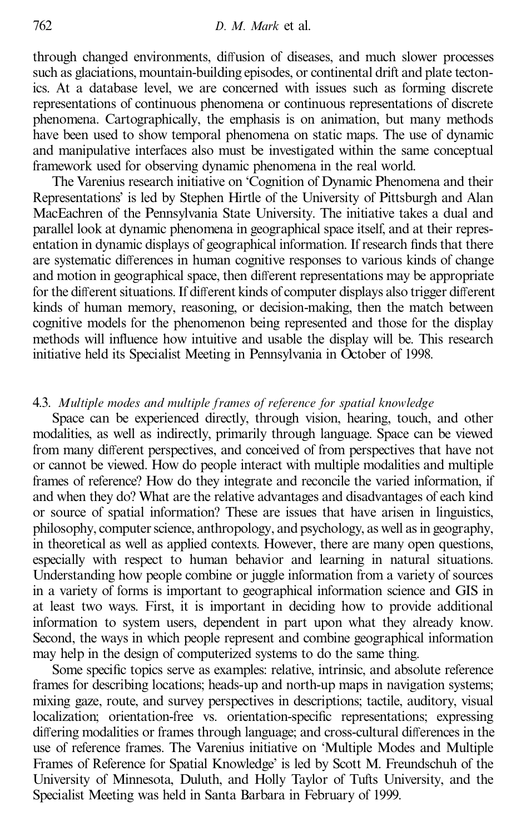through changed environments, diffusion of diseases, and much slower processes such as glaciations, mountain-building episodes, or continental drift and plate tectonics. At a database level, we are concerned with issues such as forming discrete representations of continuous phenomena or continuous representations of discrete phenomena. Cartographically, the emphasis is on animation, but many methods have been used to show temporal phenomena on static maps. The use of dynamic and manipulative interfaces also must be investigated within the same conceptual framework used for observing dynamic phenomena in the real world.

The Varenius research initiative on 'Cognition of Dynamic Phenomena and their Representations' is led by Stephen Hirtle of the University of Pittsburgh and Alan MacEachren of the Pennsylvania State University. The initiative takes a dual and parallel look at dynamic phenomena in geographical space itself, and at their repres entation in dynamic displays of geographical information. If research finds that there are systematic differences in human cognitive responses to various kinds of change and motion in geographical space, then different representations may be appropriate for the different situations. If different kinds of computer displays also trigger different kinds of human memory, reasoning, or decision-making, then the match between cognitive models for the phenomenon being represented and those for the display methods will influence how intuitive and usable the display will be. This research initiative held its Specialist Meeting in Pennsylvania in October of 1998.

#### 4.3. *Multiple modes and multiple frames of reference for spatial knowledge*

Space can be experienced directly, through vision, hearing, touch, and other modalities, as well as indirectly, primarily through language. Space can be viewed from many different perspectives, and conceived of from perspectives that have not or cannot be viewed. How do people interact with multiple modalities and multiple frames of reference? How do they integrate and reconcile the varied information, if and when they do? What are the relative advantages and disadvantages of each kind or source of spatial information? These are issues that have arisen in linguistics, philosophy, computer science, anthropology, and psychology, as well as in geography, in theoretical as well as applied contexts. However, there are many open questions, especially with respect to human behavior and learning in natural situations. Understanding how people combine or juggle information from a variety of sources in a variety of forms is important to geographical information science and GIS in at least two ways. First, it is important in deciding how to provide additional information to system users, dependent in part upon what they already know. Second, the ways in which people represent and combine geographical information may help in the design of computerized systems to do the same thing.

Some specific topics serve as examples: relative, intrinsic, and absolute reference frames for describing locations; heads-up and north-up maps in navigation systems; mixing gaze, route, and survey perspectives in descriptions; tactile, auditory, visual localization; orientation-free vs. orientation-specific representations; expressing differing modalities or frames through language; and cross-cultural differences in the use of reference frames. The Varenius initiative on `Multiple Modes and Multiple Frames of Reference for Spatial Knowledge' is led by Scott M. Freundschuh of the University of Minnesota, Duluth, and Holly Taylor of Tufts University, and the Specialist Meeting was held in Santa Barbara in February of 1999.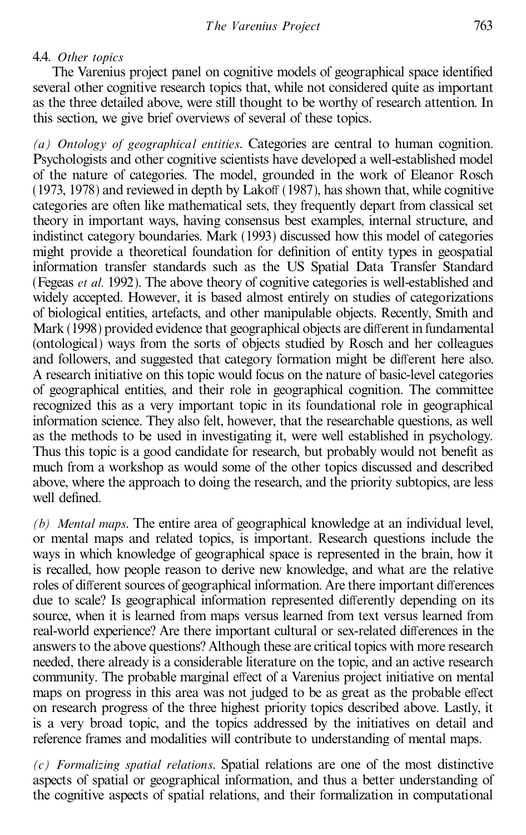## 4.4. *Other topics*

The Varenius project panel on cognitive models of geographical space identified several other cognitive research topics that, while not considered quite as important as the three detailed above, were still thought to be worthy of research attention. In this section, we give brief overviews of several of these topics.

*(a) Ontology of geographical entities*. Categories are central to human cognition. Psychologists and other cognitive scientists have developed a well-established model of the nature of categories. The model, grounded in the work of Eleanor Rosch  $(1973, 1978)$  and reviewed in depth by Lakoff  $(1987)$ , has shown that, while cognitive categories are often like mathematical sets, they frequently depart from classical set theory in important ways, having consensus best examples, internal structure, and indistinct category boundaries. Mark (1993) discussed how this model of categories might provide a theoretical foundation for definition of entity types in geospatial information transfer standards such as the US Spatial Data Transfer Standard (Fegeas *et al.* 1992). The above theory of cognitive categories is well-established and widely accepted. However, it is based almost entirely on studies of categorizations of biological entities, artefacts, and other manipulable objects. Recently, Smith and Mark (1998) provided evidence that geographical objects are different in fundamental (ontological) ways from the sorts of objects studied by Rosch and her colleagues and followers, and suggested that category formation might be different here also. A research initiative on this topic would focus on the nature of basic-level categories of geographical entities, and their role in geographical cognition. The committee recognized this as a very important topic in its foundational role in geographical information science. They also felt, however, that the researchable questions, as well as the methods to be used in investigating it, were well established in psychology. Thus this topic is a good candidate for research, but probably would not benefit as much from a workshop as would some of the other topics discussed and described above, where the approach to doing the research, and the priority subtopics, are less well defined.

*(b) Mental maps*. The entire area of geographical knowledge at an individual level, or mental maps and related topics, is important. Research questions include the ways in which knowledge of geographical space is represented in the brain, how it is recalled, how people reason to derive new knowledge, and what are the relative roles of different sources of geographical information. Are there important differences due to scale? Is geographical information represented differently depending on its source, when it is learned from maps versus learned from text versus learned from real-world experience? Are there important cultural or sex-related differences in the answers to the above questions? Although these are critical topics with more research needed, there already is a considerable literature on the topic, and an active research community. The probable marginal effect of a Varenius project initiative on mental maps on progress in this area was not judged to be as great as the probable effect on research progress of the three highest priority topics described above. Lastly, it is a very broad topic, and the topics addressed by the initiatives on detail and reference frames and modalities will contribute to understanding of mental maps.

*(c) Formalizing spatial relations*. Spatial relations are one of the most distinctive aspects of spatial or geographical information, and thus a better understanding of the cognitive aspects of spatial relations, and their formalization in computational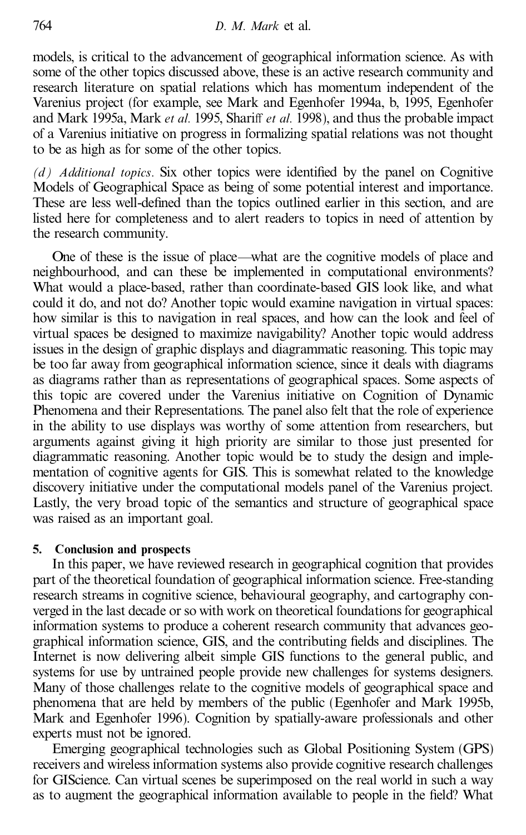models, is critical to the advancement of geographical information science. As with some of the other topics discussed above, these is an active research community and research literature on spatial relations which has momentum independent of the Varenius project (for example, see Mark and Egenhofer 1994a, b, 1995, Egenhofer and Mark 1995a, Mark *et al.* 1995, Shari *et al.* 1998), and thus the probable impact of a Varenius initiative on progress in formalizing spatial relations was not thought to be as high as for some of the other topics.

*(d) Additional topics.* Six other topics were identified by the panel on Cognitive Models of Geographical Space as being of some potential interest and importance. These are less well-defined than the topics outlined earlier in this section, and are listed here for completeness and to alert readers to topics in need of attention by the research community.

One of these is the issue of place—what are the cognitive models of place and neighbourhood, and can these be implemented in computational environments? What would a place-based, rather than coordinate-based GIS look like, and what could it do, and not do? Another topic would examine navigation in virtual spaces: how similar is this to navigation in real spaces, and how can the look and feel of virtual spaces be designed to maximize navigability? Another topic would address issues in the design of graphic displays and diagrammatic reasoning. This topic may be too far away from geographical information science, since it deals with diagrams as diagrams rather than as representations of geographical spaces. Some aspects of this topic are covered under the Varenius initiative on Cognition of Dynamic Phenomena and their Representations. The panel also felt that the role of experience in the ability to use displays was worthy of some attention from researchers, but arguments against giving it high priority are similar to those just presented for diagrammatic reasoning. Another topic would be to study the design and imple mentation of cognitive agents for GIS. This is somewhat related to the knowledge discovery initiative under the computational models panel of the Varenius project. Lastly, the very broad topic of the semantics and structure of geographical space was raised as an important goal.

### **5. Conclusion and prospects**

In this paper, we have reviewed research in geographical cognition that provides part of the theoretical foundation of geographical information science. Free-standing research streams in cognitive science, behavioural geography, and cartography con verged in the last decade or so with work on theoretical foundations for geographical information systems to produce a coherent research community that advances geo graphical information science, GIS, and the contributing fields and disciplines. The Internet is now delivering albeit simple GIS functions to the general public, and systems for use by untrained people provide new challenges for systems designers. Many of those challenges relate to the cognitive models of geographical space and phenomena that are held by members of the public (Egenhofer and Mark 1995b, Mark and Egenhofer 1996). Cognition by spatially-aware professionals and other experts must not be ignored.

Emerging geographical technologies such as Global Positioning System (GPS) receivers and wireless information systems also provide cognitive research challenges for GIScience. Can virtual scenes be superimposed on the real world in such a way as to augment the geographical information available to people in the field? What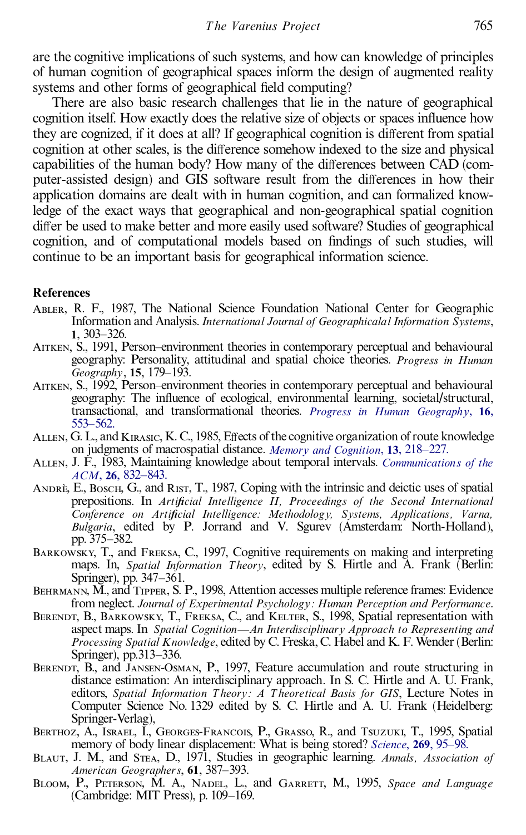are the cognitive implications of such systems, and how can knowledge of principles of human cognition of geographical spaces inform the design of augmented reality systems and other forms of geographical field computing?

There are also basic research challenges that lie in the nature of geographical cognition itself. How exactly does the relative size of objects or spaces influence how they are cognized, if it does at all? If geographical cognition is different from spatial cognition at other scales, is the difference somehow indexed to the size and physical capabilities of the human body? How many of the differences between CAD (computer-assisted design) and GIS software result from the differences in how their application domains are dealt with in human cognition, and can formalized knowledge of the exact ways that geographical and non-geographical spatial cognition differ be used to make better and more easily used software? Studies of geographical cognition, and of computational models based on findings of such studies, will continue to be an important basis for geographical information science.

#### **References**

- Abler, R. F., 1987, The National Science Foundation National Center for Geographic Information and Analysis. *International Journal of Geographicalal Information Systems*, **1**, 303±326.
- AITKEN, S., 1991, Person-environment theories in contemporary perceptual and behavioural geography: Personality, attitudinal and spatial choice theories. *Progress in Human Geography*, **15**, 179–193.
- AITKEN, S., 1992, Person-environment theories in contemporary perceptual and behavioural geography: The influence of ecological, environmental learning, societal/structural, transactional, and transformational theories. *Progress in Human [Geography](http://mustafa.catchword.com/nw=1/rpsv/cgi-bin/linker?ext=a&reqidx=/0309-1325^28^2916L.553[aid=787616])*, 16, 553–562.
- ALLEN, G. L., and KIRASIC, K. C., 1985, Effects of the cognitive organization of route knowledge on judgments of macrospatial distance. *Memory and Cognition*, **13**, 218–227.
- Allen, J. F., 1983, Maintaining knowledge about temporal intervals. *[Communications](http://mustafa.catchword.com/nw=1/rpsv/cgi-bin/linker?ext=a&reqidx=/0001-0782^28^2926L.832[aid=310364]) of the ACM*, 26, 832–843.
- ANDRE, E., BOSCH, G., and RIST, T., 1987, Coping with the intrinsic and deictic uses of spatial prepositions. In *Artificial Intelligence II, Proceedings of the Second International Conference on Arti®cial Intelligence: Methodology, Systems, Applications, Varna, Bulgaria*, edited by P. Jorrand and V. Sgurev (Amsterdam: North-Holland), pp. 375–382.
- Barkowsky, T., and Freksa, C., 1997, Cognitive requirements on making and interpreting maps. In, *Spatial Information T heory*, edited by S. Hirtle and A. Frank (Berlin: Springer), pp.  $347-361$ .
- Behrmann, M., and Tipper, S. P., 1998, Attention accesses multiple reference frames: Evidence from neglect. *Journal of Experimental Psychology: Human Perception and Performance*.
- BERENDT, B., BARKOWSKY, T., FREKSA, C., and KELTER, S., 1998, Spatial representation with aspect maps. In *Spatial CognitionÐAn Interdisciplinary Approach to Representing and Processing Spatial Knowledge*, edited by C. Freska, C. Habel and K. F. Wender (Berlin: Springer), pp.313–336.
- BERENDT, B., and JANSEN-OSMAN, P., 1997, Feature accumulation and route structuring in distance estimation: An interdisciplinary approach. In S. C. Hirtle and A. U. Frank, editors, Spatial Information Theory: A Theoretical Basis for GIS, Lecture Notes in Computer Science No. 1329 edited by S. C. Hirtle and A. U. Frank (Heidelberg: Springer-Verlag),
- Berthoz, A., Israel, I., Georges-Francois, P., Grasso, R., and Tsuzuki, T., 1995, Spatial memory of body linear displacement: What is being stored? *Science*, **269**, 95–98.
- Blaut, J. M., and Stea, D., 1971, Studies in geographic learning. *Annals, Association of American Geographers*, **61**, 387±393.
- Bloom, P., Peterson, M. A., Nadel, L., and Garrett, M., 1995, *Space and L anguage* (Cambridge: MIT Press), p.  $109-169$ .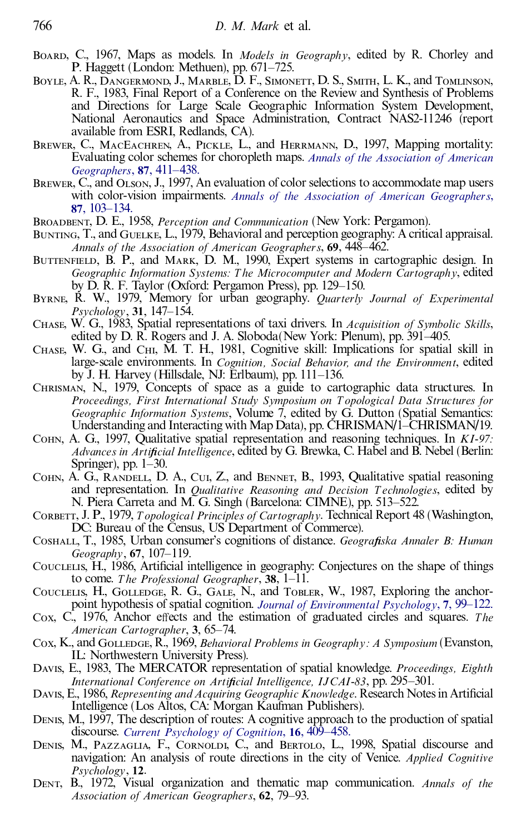- BOARD, C., 1967, Maps as models. In *Models* in *Geography*, edited by R. Chorley and P. Haggett (London: Methuen), pp. 671–725.<br>BOYLE, A. R., DANGERMOND, J., MARBLE, D. F., SIMONETT, D. S., SMITH, L. K., and TOMLINSON,
- R. F., 1983, Final Report of a Conference on the Review and Synthesis of Problems and Directions for Large Scale Geographic Information System Development, National Aeronautics and Space Administration, Contract NAS2-11246 (report available from ESRI, Redlands, CA).
- Brewer, C., MacEachren, A., Pickle, L., and Herrmann, D., 1997, Mapping mortality: Evaluating color schemes for choropleth maps. *Annals of the [Association](http://mustafa.catchword.com/nw=1/rpsv/cgi-bin/linker?ext=a&reqidx=/0004-5608^28^2987L.411[aid=787619]) of American [Geographers](http://mustafa.catchword.com/nw=1/rpsv/cgi-bin/linker?ext=a&reqidx=/0004-5608^28^2987L.411[aid=787619])*, 87, 411–438.
- BREWER, C., and OLSON, J., 1997, An evaluation of color selections to accommodate map users with color-vision impairments. *Annals of the Association of American [Geographers](http://mustafa.catchword.com/nw=1/rpsv/cgi-bin/linker?ext=a&reqidx=/0004-5608^28^2987L.103[aid=787620])*, **87**, 103–134.
- Broadbent, D. E., 1958, *Perception and Communication* (New York: Pergamon).
- BUNTING, T., and GUELKE, L., 1979, Behavioral and perception geography: A critical appraisal. *Annals of the Association of American Geographers*, **69**, 448±462.
- BUTTENFIELD, B. P., and MARK, D. M., 1990, Expert systems in cartographic design. In *Geographic Information Systems: T he Microcomputer and Modern Cartography*, edited by  $\overline{D}$ . R. F. Taylor (Oxford: Pergamon Press), pp. 129–150.
- Byrne, R. W., 1979, Memory for urban geography. *Quarterly Journal of Experimental Psychology*, **31**, 147±154.
- <sup>C</sup>hase, W. G., 1983, Spatial representations of taxi drivers. In *Acquisition of Symbolic Skills*, edited by D. R. Rogers and J. A. Sloboda(New York: Plenum), pp. 391±405.
- Chase, W. G., and Chi, M. T. H., 1981, Cognitive skill: Implications for spatial skill in large-scale environments. In *Cognition, Social Behavior, and the Environment*, edited by J. H. Harvey (Hillsdale, NJ: Erlbaum), pp.  $111-136$ .
- Chrisman, N., 1979, Concepts of space as a guide to cartographic data structures. In *Proceedings, First International Study Symposium on T opological Data Structures for Geographic Information Systems*, Volume 7, edited by G. Dutton (Spatial Semantics: Understanding and Interacting with Map Data), pp. CHRISMAN/1–CHRISMAN/19.
- Cohn, A. G., 1997, Qualitative spatial representation and reasoning techniques. In *KI-97: Advances in Artificial Intelligence*, edited by G. Brewka, C. Habel and B. Nebel (Berlin: Springer), pp.  $1-30$ .
- Cohn, A. G., Randell, D. A., Cui, Z., and Bennet, B., 1993, Qualitative spatial reasoning and representation. In *Qualitative Reasoning and Decision T echnologies*, edited by N. Piera Carreta and M. G. Singh (Barcelona: CIMNE), pp. 513–522.
- Corbett, J. P., 1979, *T opological Principles of Cartography*. Technical Report 48 (Washington, DC: Bureau of the Census, US Department of Commerce).
- Coshall, T., 1985, Urban consumer's cognitions of distance. *Geogra®ska Annaler B: Human Geography*, **67**, 107–119.
- COUCLELIS, H., 1986, Artificial intelligence in geography: Conjectures on the shape of things to come. *T he Professional Geographer*, **38**, 1±11.
- <sup>C</sup>ouclelis, H., <sup>G</sup>olledge, R. G., <sup>G</sup>ale, N., and <sup>T</sup>obler, W., 1987, Exploring the anchor- point hypothesis of spatial cognition. *Journal of [Environmental](http://mustafa.catchword.com/nw=1/rpsv/cgi-bin/linker?ext=a&reqidx=/0272-4944^28^297L.99[aid=787624]) Psychology*, **<sup>7</sup>**, 99±122.
- Cox, C., 1976, Anchor effects and the estimation of graduated circles and squares. *The American Cartographer*, 3, 65–74.
- Cox, K., and Golledge, R., 1969, *Behavioral Problems in Geography: A Symposium* (Evanston, IL: Northwestern University Press).
- Davis, E., 1983, The MERCATOR representation of spatial knowledge. *Proceedings, Eighth International Conference on Artificial Intelligence, IJCAI-83, pp. 295-301.*
- Davis, E., 1986, *Representing and Acquiring Geographic Knowledge*. Research Notes in Artificial Intelligence (Los Altos, CA: Morgan Kaufman Publishers).
- Denis, M., 1997, The description of routes: A cognitive approach to the production of spatial discourse. *Current [Psychology](http://mustafa.catchword.com/nw=1/rpsv/cgi-bin/linker?ext=a&reqidx=/0249-9185^28^2916L.409[aid=787625,csa=0249-9185^26vol=16^26iss=4^26firstpage=409]) of Cognition*, 16, 409-458.
- DENIS, M., PAZZAGLIA, F., CORNOLDI, C., and BERTOLO, L., 1998, Spatial discourse and navigation: An analysis of route directions in the city of Venice. *Applied Cognitive Psychology*, **12**.
- Dent, B., 1972, Visual organization and thematic map communication. *Annals of the Association of American Geographers*, 62, 79–93.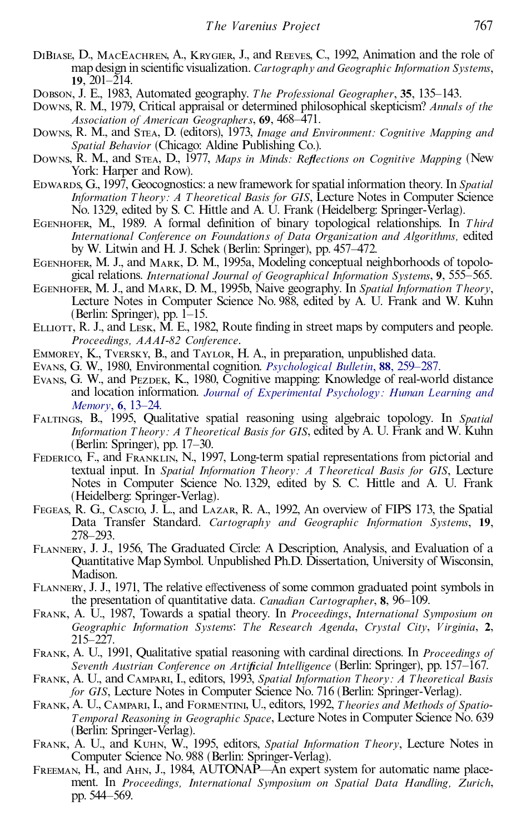- DiBiase, D., MacEachren, A., Krygier, J., and Reeves, C., 1992, Animation and the role of map design in scientific visualization. *Cartography and Geographic Information Systems*, **19**, 201–214.
- Dobson, J. E., 1983, Automated geography. *T he Professional Geographer*, **35**, 135±143.
- Downs, R. M., 1979, Critical appraisal or determined philosophical skepticism? *Annals of the Association of American Geographers*, 69, 468–471.
- Downs, R. M., and Stea, D. (editors), 1973, *Image and Environment: Cognitive Mapping and Spatial Behavior* (Chicago: Aldine Publishing Co.).
- Downs, R. M., and STEA, D., 1977, *Maps* in *Minds: Reflections* on *Cognitive Mapping* (New York: Harper and Row).
- Edwards, G., 1997, Geocognostics: a new framework forspatial information theory. In *Spatial Information T heory: A T heoretical Basis for GIS*, Lecture Notes in Computer Science No. 1329, edited by S. C. Hittle and A. U. Frank (Heidelberg: Springer-Verlag).
- EGENHOFER, M., 1989. A formal definition of binary topological relationships. In *Third International Conference on Foundations of Data Organization and Algorithms,* edited by W. Litwin and H. J. Schek (Berlin: Springer), pp. 457–472.
- <sup>E</sup>genhofer, M. J., and <sup>M</sup>ark, D. M., 1995a, Modeling conceptual neighborhoods of topolo- gical relations. *International Journal of Geographical Information Systems*, **<sup>9</sup>**, 555±565.
- Lecture Notes in Computer Science No. 988, edited by A. U. Frank and W. Kuhn (Berlin: Springer), pp.  $1-15$ .
- ELLIOTT, R. J., and LESK, M. E., 1982, Route finding in street maps by computers and people. *Proceedings, AAAI-82 Conference*.
- EMMOREY, K., TVERSKY, B., and TAYLOR, H. A., in preparation, unpublished data.
- Evans, G. W., 1980, Environmental cognition. *[Psychological](http://mustafa.catchword.com/nw=1/rpsv/cgi-bin/linker?ext=a&reqidx=/0033-2909^28^2988L.259[aid=219441]) Bulletin*, 88, 259-287.
- Evans, G. W., and Pezdek, K., 1980, Cognitive mapping: Knowledge of real-world distance and location information. *Journal of [Experimental](http://mustafa.catchword.com/nw=1/rpsv/cgi-bin/linker?ext=a&reqidx=/1076-898X^28^296L.13[aid=282792]) Psychology : Human L earning and [Memory](http://mustafa.catchword.com/nw=1/rpsv/cgi-bin/linker?ext=a&reqidx=/1076-898X^28^296L.13[aid=282792])*, **6**, 13–24.
- Faltings, B., 1995, Qualitative spatial reasoning using algebraic topology. In *Spatial Information T heory: A T heoretical Basis for GIS*, edited by A. U. Frank and W. Kuhn  $(Berlin: Springer)$ , pp. 17 $-30$ .
- Federico, F., and Franklin, N., 1997, Long-term spatial representations from pictorial and textual input. In *Spatial Information T heory: A T heoretical Basis for GIS*, Lecture Notes in Computer Science No. 1329, edited by S. C. Hittle and A. U. Frank (Heidelberg: Springer-Verlag).
- Fegeas, R. G., Cascio, J. L., and Lazar, R. A., 1992, An overview of FIPS 173, the Spatial Data Transfer Standard. *Cartography and Geographic Information Systems*, **19**, 278±293.
- Flannery, J. J., 1956, The Graduated Circle: A Description, Analysis, and Evaluation of a Quantitative Map Symbol. Unpublished Ph.D. Dissertation, University of Wisconsin, Madison.
- FLANNERY, J. J., 1971, The relative effectiveness of some common graduated point symbols in the presentation of quantitative data. *Canadian Cartographer*, 8, 96–109.
- Frank, A. U., 1987, Towards a spatial theory. In *Proceedings*, *International Symposium on Geographic Information Systems: The Research Agenda, Crystal City, Virginia, 2, 215–227.*
- Frank, A. U., 1991, Qualitative spatial reasoning with cardinal directions. In *Proceedings of Seventh Austrian Conference on Artificial Intelligence* (Berlin: Springer), pp. 157-167.
- Frank, A. U., and Campari, I., editors, 1993, *Spatial Information T heory: A T heoretical Basis for GIS*, Lecture Notes in Computer Science No. 716 (Berlin: Springer-Verlag).
- Frank, A. U., Campari, I., and Formentini, U., editors, 1992, *T heories and Methods of Spatio- T emporal Reasoning in Geographic Space*, Lecture Notes in Computer Science No. 639 (Berlin: Springer-Verlag).
- Frank, A. U., and Kuhn, W., 1995, editors, *Spatial Information T heory*, Lecture Notes in Computer Science No. 988 (Berlin: Springer-Verlag).
- <sup>F</sup>reeman, H., and <sup>A</sup>hn, J., 1984, AUTONAPÐAn expert system for automatic name place- ment. In *Proceedings, International Symposium on Spatial Data Handling, Zurich*, pp. 544–569.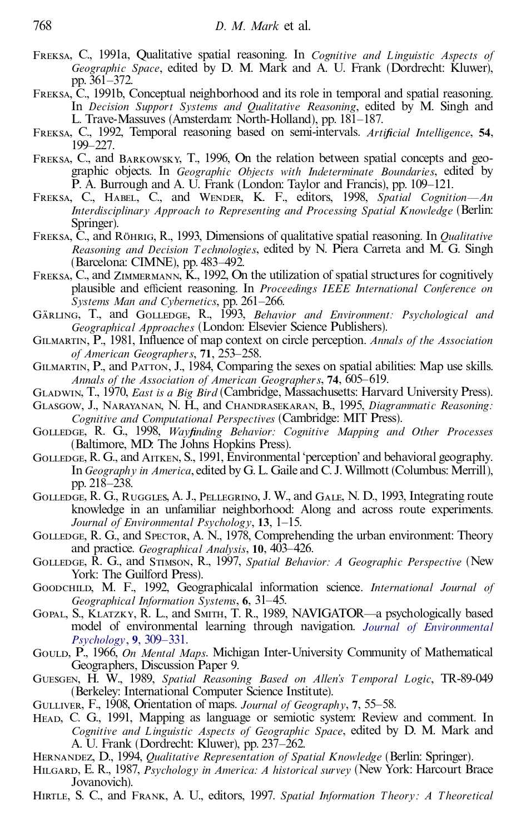- Freksa, C., 1991a, Qualitative spatial reasoning. In *Cognitive and L inguistic Aspects of Geographic Space*, edited by D. M. Mark and A. U. Frank (Dordrecht: Kluwer), pp. 361–372.
- <sup>F</sup>reksa, C., 1991b, Conceptual neighborhood and its role in temporal and spatial reasoning. In *Decision Support Systems and Qualitative Reasoning*, edited by M. Singh and L. Trave-Massuves (Amsterdam: North-Holland), pp. 181–187.
- FREKSA, C., 1992, Temporal reasoning based on semi-intervals. *Artificial Intelligence*, **54**, 199–227.
- <sup>F</sup>reksa, C., and <sup>B</sup>arkowsky, T., 1996, On the relation between spatial concepts and geo- graphic objects. In *Geographic Objects with Indeterminate Boundaries*, edited by P. A. Burrough and A. U. Frank (London: Taylor and Francis), pp. 109–121.
- FREKSA, C., HABEL, C., and WENDER, K. F., editors, 1998, *Spatial Cognition—An Interdisciplinary Approach to Representing and Processing Spatial Knowledge* (Berlin: Springer).
- FREKSA, C., and RÖHRIG, R., 1993, Dimensions of qualitative spatial reasoning. In *Qualitative Reasoning and Decision T echnologies*, edited by N. Piera Carreta and M. G. Singh  $(Barelona: CIMNE)$ , pp. 483–492.
- FREKSA, C., and ZIMMERMANN, K., 1992. On the utilization of spatial structures for cognitively plausible and efficient reasoning. In *Proceedings IEEE International Conference on Systems Man and Cybernetics*, pp. 261-266.
- GÄRLING, T., and GOLLEDGE, R., 1993, *Behavior and Environment: Psychological and Geographical Approaches* (London: Elsevier Science Publishers).
- GILMARTIN, P., 1981, Influence of map context on circle perception. *Annals of the Association of American Geographers*, **71**, 253±258.
- Gilmartin, P., and Patton, J., 1984, Comparing the sexes on spatial abilities: Map use skills. *Annals of the Association of American Geographers*, **74**, 605±619.
- Gladwin, T., 1970, *East is a Big Bird* (Cambridge, Massachusetts: Harvard University Press).
- Glasgow, J., Narayanan, N. H., and Chandrasekaran, B., 1995, *Diagrammatic Reasoning: Cognitive and Computational Perspectives* (Cambridge: MIT Press).
- Golledge, R. G., 1998, *Way®nding Behavior: Cognitive Mapping and Other Processes* (Baltimore, MD: The Johns Hopkins Press).
- <sup>G</sup>olledge, R. G., and <sup>A</sup>itken, S., 1991, Environmental `perception' and behavioral geography. In *Geography in America*, edited by G. L. Gaile and C.J. Willmott (Columbus: Merrill), pp.  $218 - 238$ .
- GOLLEDGE, R. G., RUGGLES, A. J., PELLEGRINO, J. W., and GALE, N. D., 1993, Integrating route knowledge in an unfamiliar neighborhood: Along and across route experiments. *Journal of Environmental Psychology*, 13, 1–15.
- GOLLEDGE, R. G., and SPECTOR, A. N., 1978, Comprehending the urban environment: Theory and practice. *Geographical Analysis*, 10, 403-426.
- Golledge, R. G., and Stimson, R., 1997, *Spatial Behavior: A Geographic Perspective* (New York: The Guilford Press).
- Goodchild, M. F., 1992, Geographicalal information science. *International Journal of Geographical Information Systems*, 6, 31-45.
- GOPAL, S., KLATZKY, R. L., and SMITH, T. R., 1989, NAVIGATOR—a psychologically based model of environmental learning through navigation. *Journal of [Environmental](http://mustafa.catchword.com/nw=1/rpsv/cgi-bin/linker?ext=a&reqidx=/0272-4944^28^299L.309[aid=219444]) [Psychology](http://mustafa.catchword.com/nw=1/rpsv/cgi-bin/linker?ext=a&reqidx=/0272-4944^28^299L.309[aid=219444])*, **9**, 309±331.
- Gould, P., 1966, *On Mental Maps*. Michigan Inter-University Community of Mathematical Geographers, Discussion Paper 9.
- Guesgen, H. W., 1989, *Spatial Reasoning Based on Allen's T emporal L ogic*, TR-89-049 (Berkeley: International Computer Science Institute).
- GULLIVER, F., 1908, Orientation of maps. *Journal of Geography*, 7, 55–58.
- HEAD, C. G., 1991, Mapping as language or semiotic system: Review and comment. In *Cognitive and L inguistic Aspects of Geographic Space*, edited by D. M. Mark and A. U. Frank (Dordrecht: Kluwer), pp. 237–262.
- Hernandez, D., 1994, *Qualitative Representation of Spatial Knowledge* (Berlin: Springer).
- Hilgard, E. R., 1987, *Psychology in America: A historical survey* (New York: Harcourt Brace Jovanovich).
- Hirtle, S. C., and Frank, A. U., editors, 1997. *Spatial Information T heory: A T heoretical*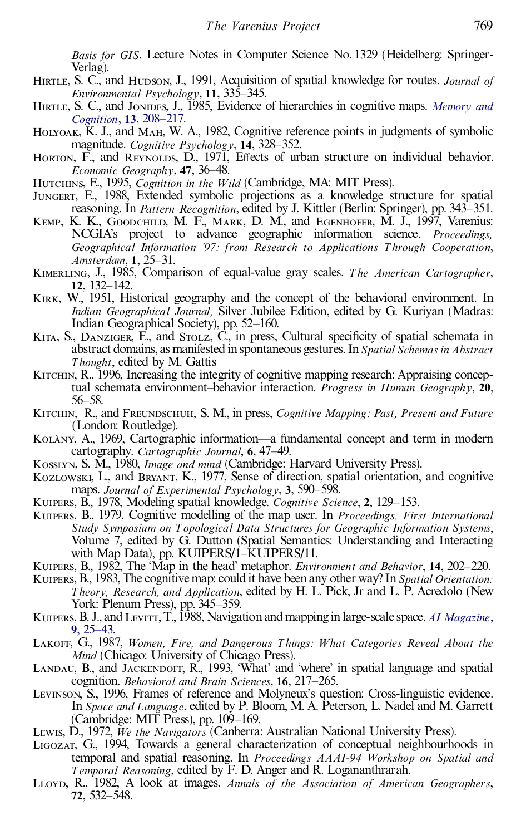*Basis for GIS*, Lecture Notes in Computer Science No. <sup>1329</sup> (Heidelberg: Springer- Verlag).

- Hirtle, S. C., and Hudson, J., 1991, Acquisition of spatial knowledge for routes. *Journal of Environmental*  $P$ *sychology*, 11, 335–345.
- HIRTLE, S. C., and JONIDES, J., 1985, Evidence of hierarchies in cognitive maps. *[Memory](http://mustafa.catchword.com/nw=1/rpsv/cgi-bin/linker?ext=a&reqidx=/0090-502X^28^2913L.208[aid=219157]) and Cognition*, **13**, 208-217.
- Holyoak, K. J., and Mah, W. A., 1982, Cognitive reference points in judgments of symbolic magnitude. *Cognitive Psychology*, 14, 328-352.
- HORTON,  $\overline{F_n}$ , and REYNOLDS,  $\overline{D_n}$ , 1971, Effects of urban structure on individual behavior. *Economic Geography*, 47, 36–48.

Hutchins, E., 1995, *Cognition in the W ild* (Cambridge, MA: MIT Press).

- Jungert, E., 1988, Extended symbolic projections as a knowledge structure for spatial reasoning. In *Pattern Recognition*, edited by J. Kittler (Berlin: Springer), pp. 343–351.
- Kemp, K. K., Goodchild, M. F., Mark, D. M., and Egenhofer, M. J., 1997, Varenius: NCGIA's project to advance geographic information science. *Proceedings, Geographical Information '97: from Research to Applications T hrough Cooperation*, *Amsterdam*, 1, 25-31.
- Kimerling, J., 1985, Comparison of equal-value gray scales. *T he American Cartographer*, **12**, 132–142.
- Kirk, W., 1951, Historical geography and the concept of the behavioral environment. In *Indian Geographical Journal,* Silver Jubilee Edition, edited by G. Kuriyan (Madras: Indian Geographical Society), pp. 52-160.
- KITA, S., DANZIGER, E., and STOLZ, C., in press, Cultural specificity of spatial schemata in abstract domains, as manifested inspontaneous gestures.In*Spatial Schemas in Abstract T hought*, edited by M. Gattis
- KITCHIN, R., 1996, Increasing the integrity of cognitive mapping research: Appraising conceptual schemata environment-behavior interaction. *Progress in Human Geography*, 20, 56–58.
- Kitchin, R., and Freundschuh, S. M., in press, *Cognitive Mapping: Past, Present and Future* (London: Routledge).
- Kordany, A., 1969, Cartographic information—a fundamental concept and term in modern cartography. *Cartographic Journal*, **6**, 47–49.
- Kosslyn, S. M., 1980, *Image and mind* (Cambridge: Harvard University Press).
- Kozlowski, L., and Bryant, K., 1977, Sense of direction, spatial orientation, and cognitive maps. *Journal of Experimental Psychology*, 3, 590–598.
- KUIPERS, B., 1978, Modeling spatial knowledge. *Cognitive Science*, 2, 129–153.
- Kuipers, B., 1979, Cognitive modelling of the map user. In *Proceedings, First International* Volume 7, edited by G. Dutton (Spatial Semantics: Understanding and Interacting with Map Data), pp. KUIPERS/1–KUIPERS/11.
- Kuipers, B., 1982, The `Map in the head' metaphor. *Environment and Behavior*, **14**, 202±220.
- Kuipers, B., 1983, The cognitive map: could ithave beenany other way?In *Spatial Orientation: T heory, Research, and Application*, edited by H. L. Pick, Jr and L.P. Acredolo (New York: Plenum Press), pp. 345–359.
- Kuipers, B. J., and Levitt, T., 1988, Navigationand mapping in large-scale space. *AI [Magazine](http://mustafa.catchword.com/nw=1/rpsv/cgi-bin/linker?ext=a&reqidx=/0738-4602^28^299L.25[aid=787640,csa=0738-4602^26vol=9^26iss=2^26firstpage=25])*, **9**, 25–43.
- Lakoff, G., 1987, *Women, Fire, and Dangerous T hings: W hatCategories Reveal About the Mind* (Chicago: University of Chicago Press).
- LANDAU, B., and JACKENDOFF, R., 1993, 'What' and 'where' in spatial language and spatial cognition. *Behavioral and Brain Sciences*, **16**, 217–265.<br>LEVINSON, S., 1996, Frames of reference and Molyneux's question: Cross-linguistic evidence.
- In Space and Language, edited by P. Bloom, M. A. Peterson, L. Nadel and M. Garrett (Cambridge: MIT Press), pp.  $109-169$ .
- Lewis, D., 1972, *We the Navigators* (Canberra: Australian National University Press).
- Ligozat, G., 1994, Towards a general characterization of conceptual neighbourhoods in temporal and spatial reasoning. In *Proceedings AAAI-94 Workshop on Spatial and T emporal Reasoning*, edited by F. D. Anger and R. Logananthrarah.
- Lloyd, R., 1982, A look at images. *Annals of the Association of American Geographers*, **72.** 532–548.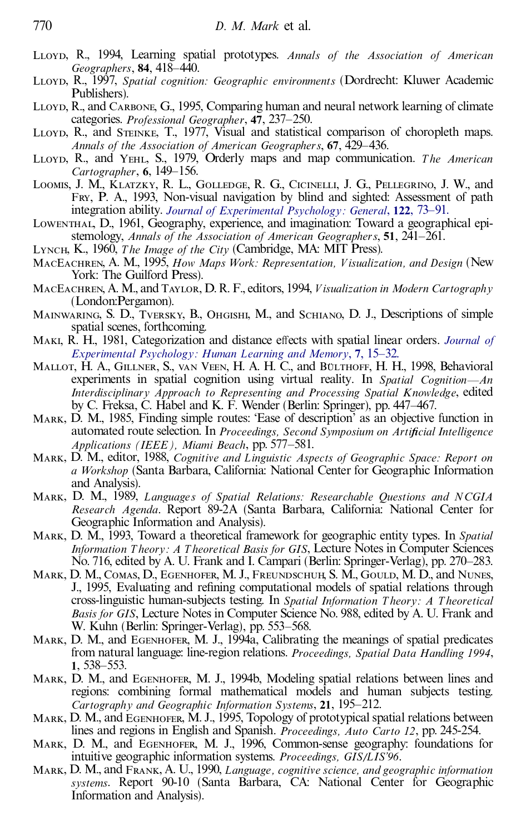- Lloyd, R., 1994, Learning spatial prototypes. *Annals of the Association of American Geographers*, **84**, 418–440.
- Lloyd, R., 1997, *Spatial cognition: Geographic environments* (Dordrecht: Kluwer Academic Publishers).
- Lloyd, R., and Carbone, G., 1995, Comparing human and neural network learning of climate categories. *Professional Geographer*, 47, 237–250.
- LLOYD, R., and STEINKE, T., 1977, Visual and statistical comparison of choropleth maps. *Annals of the Association of American Geographers*, **67**, 429±436.
- Lloyd, R., and Yehl, S., 1979, Orderly maps and map communication. *T he American Cartographer*, **6**, 149–156.
- Loomis, J. M., Klatzky, R. L., Golledge, R. G., Cicinelli, J. G., Pellegrino, J. W., and Fry, P. A., 1993, Non-visual navigation by blind and sighted: Assessment of path integration ability. *Journal of [Experimental](http://mustafa.catchword.com/nw=1/rpsv/cgi-bin/linker?ext=a&reqidx=/0096-3445^28^29122L.73[aid=219165,csa=0096-3445^26vol=122^26iss=1^26firstpage=73,erg=136802,nlm=8440978]) Psychology: General*, **122**, 73±91.
- Lowenthal, D., 1961, Geography, experience, and imagination: Toward a geographical epistemology, *Annals* of the *Association* of *American Geographers*, **51**, 241-261.
- Lynch, K., 1960, *T he Image of the City* (Cambridge, MA: MIT Press).
- MacEachren, A. M., 1995, *How Maps Work: Representation, V isualization, and Design* (New York: The Guilford Press).
- MacEachren, A. M., and Taylor, D. R. F., editors, 1994, *V isualization in Modern Cartography* (London:Pergamon).
- Mainwaring, S. D., Tversky, B., Ohgishi, M., and Schiano, D. J., Descriptions of simple spatial scenes, forthcoming.
- MAKI, R. H., 1981, Categorization and distance effects with spatial linear orders. *[Journal](http://mustafa.catchword.com/nw=1/rpsv/cgi-bin/linker?ext=a&reqidx=/1076-898X^28^297L.15[aid=787645]) of [Experimental](http://mustafa.catchword.com/nw=1/rpsv/cgi-bin/linker?ext=a&reqidx=/1076-898X^28^297L.15[aid=787645]) Psychology: Human Learning and Memory, 7, 15–32.*
- MALLOT, H. A., GILLNER, S., VAN VEEN, H. A. H. C., and BÜLTHOFF, H. H., 1998, Behavioral experiments in spatial cognition using virtual reality. In *Spatial Cognition—An Interdisciplinary Approach to Representing and Processing Spatial Knowledge*, edited by C. Freksa, C. Habel and K. F. Wender (Berlin: Springer), pp. 447–467.
- MARK, D. M., 1985, Finding simple routes: 'Ease of description' as an objective function in automated route selection. In *Proceedings, Second Symposium on Arti®cial Intelligence Applications (IEEE), Miami Beach, pp. 577–581.*
- Mark, D. M., editor, 1988, *Cognitive and L inguistic Aspects of Geographic Space: Report on a Workshop* (Santa Barbara, California: National Center for Geographic Information and Analysis).
- Mark, D. M., 1989, *L anguages of Spatial Relations: Researchable Questions and NCGIA Research Agenda*. Report 89-2A (Santa Barbara, California: National Center for Geographic Information and Analysis).
- Mark, D. M., 1993, Toward a theoretical framework for geographic entity types. In *Spatial Information T heory: A T heoretical Basis for GIS*, Lecture Notes in Computer Sciences No. 716, edited by A. U. Frank and I. Campari (Berlin: Springer-Verlag), pp. 270–283.
- MARK, D. M., COMAS, D., EGENHOFER, M. J., FREUNDSCHUH, S. M., GOULD, M. D., and NUNES, J., 1995, Evaluating and refining computational models of spatial relations through cross-linguistic human-subjects testing. In *Spatial Information T heory: A T heoretical Basis for GIS*, Lecture Notes in Computer Science No. 988, edited by A. U. Frank and W. Kuhn (Berlin: Springer-Verlag), pp. 553–568.
- MARK, D. M., and EGENHOFER, M. J., 1994a, Calibrating the meanings of spatial predicates from natural language: line-region relations. *Proceedings, Spatial Data Handling 1994*, **1**, 538–553.
- Mark, D. M., and Egenhofer, M. J., 1994b, Modeling spatial relations between lines and regions: combining formal mathematical models and human subjects testing. *Cartography* and *Geographic Information Systems*, 21, 195–212.
- MARK, D. M., and EGENHOFER, M. J., 1995, Topology of prototypical spatial relations between lines and regions in English and Spanish. *Proceedings, Auto Carto 12*, pp. 245-254.
- Mark, D. M., and Egenhofer, M. J., 1996, Common-sense geography: foundations for intuitive geographic information systems. *Proceedings, GIS/L IS'96*.
- Mark, D. M., and Frank, A. U., 1990, *L anguage, cognitive science, and geographic information systems*. Report 90-10 (Santa Barbara, CA: National Center for Geographic Information and Analysis).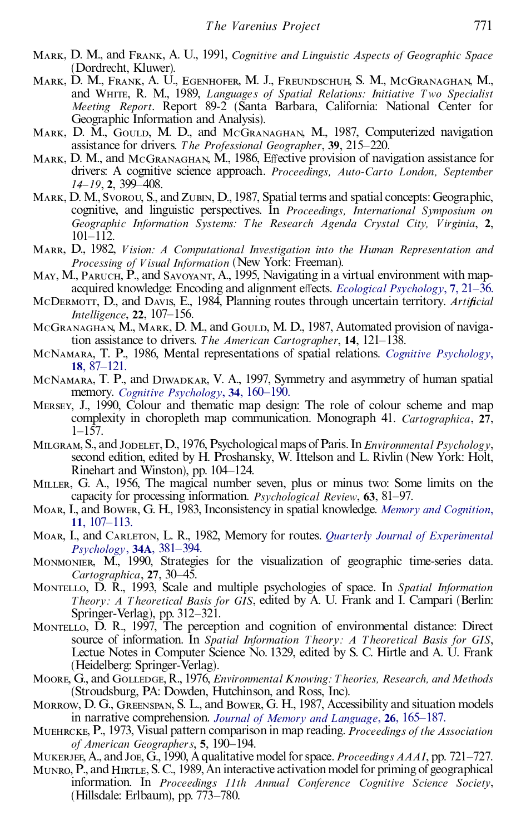- Mark, D. M., and Frank, A. U., 1991, *Cognitive and L inguistic Aspects of Geographic Space* (Dordrecht, Kluwer).<br>MARK, D. M., Frank, A. U., EGENHOFER, M. J., FREUNDSCHUH, S. M., MCGRANAGHAN, M.,
- and WHITE, R. M., 1989, Languages of Spatial Relations: Initiative Two Specialist *Meeting Report*. Report 89-2 (Santa Barbara, California: National Center for Geographic Information and Analysis).
- MARK, D. M., GOULD, M. D., and McGranaghan, M., 1987, Computerized navigation assistance for drivers. *The Professional Geographer*, 39, 215–220.
- MARK, D. M., and McGRANAGHAN, M., 1986, Effective provision of navigation assistance for drivers: A cognitive science approach. *Proceedings, Auto-Carto L ondon, September 14-19*, **2**, 399-408.<br>*MARK, D. M., SVOROU, S., and ZUBIN, D., 1987, Spatial terms and spatial concepts: Geographic,*
- <sup>M</sup>ark, D. M., <sup>S</sup>vorou, S., and <sup>Z</sup>ubin, D., 1987, Spatial terms and spatial concepts: Geographic, cognitive, and linguistic perspectives. In *Proceedings, International Symposium on Geographic Information Systems: <sup>T</sup> he Research Agenda Crystal City, <sup>V</sup> irginia*, **<sup>2</sup>**, 101±112.
- Marr, D., 1982, *V ision: A Computational Investigation into the Human Representation and Processing of V isual Information* (New York: Freeman).<br>MAY, M., PARUCH, P., and SAVOYANT, A., 1995, Navigating in a virtual environment with map-
- acquired knowledge: Encoding and alignment effects. *Ecological [Psychology](http://mustafa.catchword.com/nw=1/rpsv/cgi-bin/linker?ext=a&reqidx=/1040-7413^28^297L.21[aid=219502,erg=143256])*, **7**, 21–36.
- McDermott, D., and Davis, E., 1984, Planning routes through uncertain territory. *Artificial Intelligence*, 22, 107–156.
- McGranaghan, M., Mark, D. M., and Gould, M. D., 1987, Automated provision of navigation assistance to drivers. *The American Cartographer*, **14**, **121**–138.
- McNamara, T. P., 1986, Mental representations of spatial relations. *Cognitive [Psychology](http://mustafa.catchword.com/nw=1/rpsv/cgi-bin/linker?ext=a&reqidx=/0010-0285^28^2918L.87[aid=219448,nlm=3948491])*, **18**, 87-121.
- McNamara, T. P., and Diwadkar, V. A., 1997, Symmetry and asymmetry of human spatial memory. *Cognitive [Psychology](http://mustafa.catchword.com/nw=1/rpsv/cgi-bin/linker?ext=a&reqidx=/0010-0285^28^2934L.160[aid=787648,csa=0010-0285^26vol=34^26iss=2^26firstpage=160,nlm=9398395])*, 34, 160-190.
- Mersey, J., 1990, Colour and thematic map design: The role of colour scheme and map complexity in choropleth map communication. Monograph 41. *Cartographica*, 27, 1–157.<br>MILGRAM, S., and JODELET, D., 1976, Psychological maps of Paris. In *Environmental Psychology*,
- second edition, edited by H. Proshansky, W. Ittelson and L. Rivlin (New York: Holt, Rinehart and Winston), pp. 104–124.
- Miller, G. A., 1956, The magical number seven, plus or minus two: Some limits on the capacity for processing information. *Psychological Review*, **63**, 81-97.
- Moar, I., and Bower, G. H., 1983, Inconsistency in spatial knowledge. *Memory and [Cognition](http://mustafa.catchword.com/nw=1/rpsv/cgi-bin/linker?ext=a&reqidx=/0090-502X^28^2911L.107[aid=298666])*, **11**, 107-113.
- Moar, I., and Carleton, L. R., 1982, Memory for routes. *Quarterly Journal of [Experimental](http://mustafa.catchword.com/nw=1/rpsv/cgi-bin/linker?ext=a&reqidx=/0272-4987^28^2934L.381[aid=787650,nlm=6890217]) [Psychology](http://mustafa.catchword.com/nw=1/rpsv/cgi-bin/linker?ext=a&reqidx=/0272-4987^28^2934L.381[aid=787650,nlm=6890217])*, **34A**, **381–394.**
- Monmonier, M., 1990, Strategies for the visualization of geographic time-series data. *Cartographica*, 27, 30–45.
- Montello, D. R., 1993, Scale and multiple psychologies of space. In *Spatial Information T heory: A T heoretical Basis for GIS*, edited by A. U. Frank and I. Campari (Berlin: Springer-Verlag), pp. 312–321.
- Montello, D. R., 1997, The perception and cognition of environmental distance: Direct source of information. In *Spatial Information T heory: A T heoretical Basis for GIS*, Lectue Notes in Computer Science No. 1329, edited by S. C. Hirtle and A. U. Frank (Heidelberg: Springer-Verlag).
- Moore, G., and Golledge, R., 1976, *Environmental Knowing: T heories, Research, and Methods* (Stroudsburg, PA: Dowden, Hutchinson, and Ross, Inc).
- Morrow, D. G., Greenspan, S. L., and Bower, G. H., 1987, Accessibility and situation models in narrative comprehension. *Journal of Memory and Language*, 26, 165-187.
- Muehrcke, P., 1973, Visual pattern comparison in map reading. *Proceedings of the Association of American Geographers*, 5, 190-194.
- MUKERJEE, A., and Joe, G., 1990, A qualitative model for space. *Proceedings AAAI*, pp. 721–727.
- MUNRO, P., and HIRTLE, S. C., 1989, An interactive activation model for priming of geographical information. In *Proceedings 11th Annual Conference Cognitive Science Society*, (Hillsdale: Erlbaum), pp.  $773-780$ .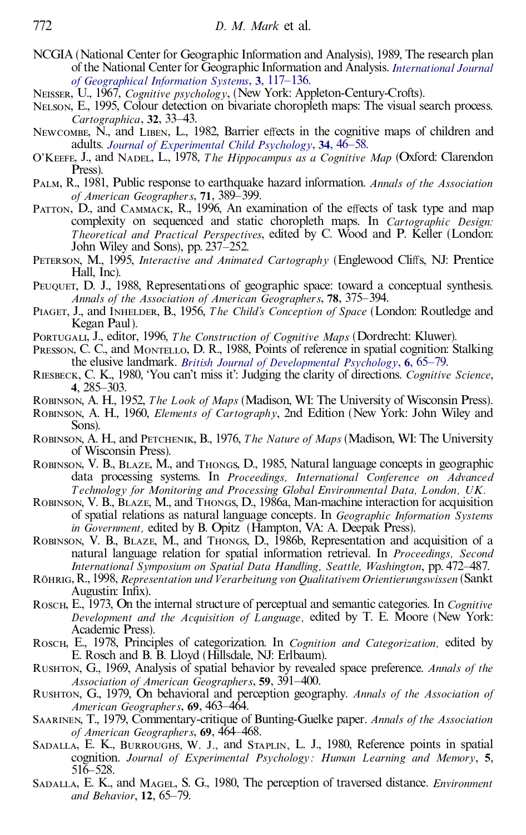- NCGIA (National Center for Geographic Information and Analysis), 1989, The research plan of the National Centerfor Geographic Information and Analysis. *[International](http://mustafa.catchword.com/nw=1/rpsv/cgi-bin/linker?ext=a&reqidx=/0269-3798^28^293L.117[aid=787652]) Journal of [Geographical](http://mustafa.catchword.com/nw=1/rpsv/cgi-bin/linker?ext=a&reqidx=/0269-3798^28^293L.117[aid=787652]) Information Systems*, **3**, 117±136.
- Neisser, U., 1967, *Cognitive psychology*, (New York: Appleton-Century-Crofts).
- Nelson, E., 1995, Colour detection on bivariate choropleth maps: The visual search process. *Cartographica*, 32, 33-43.
- NEWCOMBE, N., and LIBEN, L., 1982, Barrier effects in the cognitive maps of children and adults. *Journal of [Experimental](http://mustafa.catchword.com/nw=1/rpsv/cgi-bin/linker?ext=a&reqidx=/0022-0965^28^2934L.46[aid=18044,nlm=7119681]) Child Psychology*, **34**, 46±58.
- O'Keefe, J., and Nadel, L., 1978, *T he Hippocampus as a Cognitive Map* (Oxford: Clarendon Press).
- Palm, R., 1981, Public response to earthquake hazard information. *Annals of the Association of American Geographers*, **71**, 389±399.
- PATTON, D., and CAMMACK, R., 1996, An examination of the effects of task type and map complexity on sequenced and static choropleth maps. In *Cartographic Design: T heoretical and Practical Perspectives*, edited by C. Wood and P. Keller (London: John Wiley and Sons), pp. 237–252.
- PETERSON, M., 1995, *Interactive and Animated Cartography* (Englewood Cliffs, NJ: Prentice Hall, Inc).
- Peuquet, D. J., 1988, Representations of geographic space: toward a conceptual synthesis. *Annals of the Association of American Geographers*, **78**, 375±394.
- Piaget, J., and Inhelder, B., 1956, *T he Child's Conception of Space* (London: Routledge and Kegan Paul).
- Portugali, J., editor, 1996, *T he Construction of Cognitive Maps* (Dordrecht: Kluwer).
- Presson, C. C., and Montello, D. R., 1988, Points of reference in spatial cognition: Stalking the elusive landmark. *British Journal of [Developmental](http://mustafa.catchword.com/nw=1/rpsv/cgi-bin/linker?ext=a&reqidx=/0261-510X^28^296L.65[aid=787655]) Psychology*, **6**, 65±79.
- Riesbeck, C. K., 1980, `You can't miss it': Judging the clarity of directions. *Cognitive Science*, **4**, 285±303.
- Robinson, A. H., 1952, *T he L ook of Maps* (Madison, WI: The University of Wisconsin Press).
- Robinson, A. H., 1960, *Elements of Cartography*, 2nd Edition (New York: John Wiley and Sons).
- Robinson, A. H., and Petchenik, B., 1976, *T he Nature of Maps* (Madison, WI: The University of Wisconsin Press).
- ROBINSON, V. B., BLAZE, M., and THONGS, D., 1985, Natural language concepts in geographic data processing systems. In *Proceedings, International Conference on Advanced T echnology for Monitoring and Processing Global Environmental Data, L ondon, UK.*
- Robinson, V. B., Blaze, M., and Thongs, D., 1986a, Man-machine interaction for acquisition of spatial relations as natural language concepts. In *Geographic Information Systems in Government,* edited by B. Opitz (Hampton, VA: A. Deepak Press).
- Robinson, V. B., Blaze, M., and Thongs, D., 1986b, Representation and acquisition of a natural language relation for spatial information retrieval. In *Proceedings, Second International Symposium on Spatial Data Handling, Seattle, Washington*, pp. 472±487.
- Ro¨hrig, R., 1998, *Representation und Verarbeitung von Qualitativem Orientierungswissen* (Sankt Augustin: Infix).
- Rosch, E., 1973, On the internal structure of perceptual and semantic categories. In *Cognitive Development and the Acquisition of L anguage,* edited by T. E. Moore (New York: Academic Press).
- Rosch, E., 1978, Principles of categorization. In *Cognition and Categorization,* edited by E. Rosch and B. B. Lloyd (Hillsdale, NJ: Erlbaum).
- Rushton, G., 1969, Analysis of spatial behavior by revealed space preference. *Annals of the Association of American Geographers*, 59, 391-400.
- Rushton, G., 1979, On behavioral and perception geography. *Annals of the Association of American Geographers*, **69**, 463±464.
- Saarinen, T., 1979, Commentary-critique of Bunting-Guelke paper. *Annals of the Association of American Geographers*, **69**, 464±468.
- Sadalla, E. K., Burroughs, W. J., and Staplin, L. J., 1980, Reference points in spatial cognition. *Journal of Experimental Psychology: Human Learning and Memory*, **5**, 516–528.
- Sadalla, E. K., and Magel, S. G., 1980, The perception of traversed distance. *Environment and Behavior*, 12, 65–79.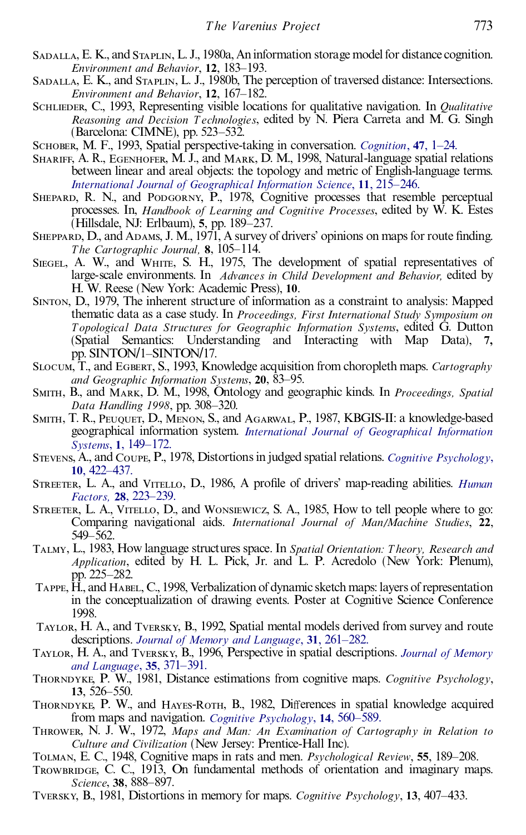- SADALLA, E. K., and STAPLIN, L. J., 1980a, An information storage model for distance cognition. *Environment and Behavior*, 12, 183–193.
- Sadalla, E. K., and Staplin, L. J., 1980b, The perception of traversed distance: Intersections. *Environment and Behavior*, 12, 167–182.
- Schlieder, C., 1993, Representing visible locations for qualitative navigation. In *Qualitative Reasoning and Decision T echnologies*, edited by N. Piera Carreta and M. G. Singh  $(Barelona: CIMNE)$ , pp. 523–532.
- SCHOBER, M. F., 1993, Spatial perspective-taking in conversation. *[Cognition](http://mustafa.catchword.com/nw=1/rpsv/cgi-bin/linker?ext=a&reqidx=/0010-0277^28^2947L.1[aid=787663,csa=0010-0277^26vol=47^26iss=1^26firstpage=1,nlm=8482069])*, **47**, 1-24.
- Shariff, A. R., Egenhofer, M. J., and Mark, D. M., 1998, Natural-language spatial relations between linear and areal objects: the topology and metric of English-language terms. *International Journal of [Geographical](http://mustafa.catchword.com/nw=1/rpsv/cgi-bin/linker?ext=a&reqidx=/1365-8816^28^2911L.215[aid=787576,cw=1]) Information Science*, 11, 215-246.
- SHEPARD, R. N., and PODGORNY, P., 1978, Cognitive processes that resemble perceptual processes. In, *Handbook of L earning and Cognitive Processes*, edited by W. K. Estes (Hillsdale, NJ: Erlbaum), 5, pp. 189–237.
- SHEPPARD, D., and ADAMS, J. M., 1971, A survey of drivers' opinions on maps for route finding. *The Cartographic Journal*, 8, 105-114.
- Siegel, A. W., and White, S. H., 1975, The development of spatial representatives of large-scale environments. In *Advances in Child Development and Behavior,* edited by H. W. Reese (New York: Academic Press), **10**.
- Sinton, D., 1979, The inherent structure of information as a constraint to analysis: Mapped thematic data as a case study. In *Proceedings, First International Study Symposium on T opological Data Structures for Geographic Information Systems*, edited G. Dutton (Spatial Semantics: Understanding and Interacting with Map Data), **7,** pp. SINTON/1–SINTON/17.
- Slocum, T., and Egbert, S., 1993, Knowledge acquisition from choropleth maps. *Cartography and Geographic Information Systems*, **20**, 83±95.
- Smith, B., and Mark, D. M., 1998, Ontology and geographic kinds. In *Proceedings, Spatial Data Handling 1998*, pp. 308-320.
- SMITH, T. R., PEUQUET, D., MENON, S., and AGARWAL, P., 1987, KBGIS-II: a knowledge-based geographical information system. *International Journal of [Geographical](http://mustafa.catchword.com/nw=1/rpsv/cgi-bin/linker?ext=a&reqidx=/0269-3798^28^291L.149[aid=787104]) Information Systems*, 1, 149–172.
- Stevens, A., and Coupe, P., 1978, Distortionsin judged spatialrelations. *Cognitive [Psychology](http://mustafa.catchword.com/nw=1/rpsv/cgi-bin/linker?ext=a&reqidx=/0010-0285^28^2910L.422[aid=219180,nlm=699514])*, **10**, 422–437.
- STREETER, L. A., and VITELLO, D., 1986, A profile of drivers' map-reading abilities. *[Human](http://mustafa.catchword.com/nw=1/rpsv/cgi-bin/linker?ext=a&reqidx=/0018-7208^28^2928L.223[aid=787666,erg=103330,nlm=3733108]) Factors*, **28**, 223-239.
- Streeter, L. A., Vitello, D., and Wonsiewicz, S. A., 1985, How to tell people where to go: Comparing navigational aids. *International Journal of Man/Machine Studies*, **<sup>22</sup>**, 549±562.
- Talmy, L., 1983, How language structures space. In *Spatial Orientation: T heory, Research and Application*, edited by H. L. Pick, Jr. and L. P. Acredolo (New York: Plenum), pp. 225-282.
- TAPPE, H., and HABEL, C., 1998, Verbalization of dynamic sketch maps: layers of representation in the conceptualization of drawing events. Poster at Cognitive Science Conference 1998.
- Taylor, H. A., and Tversky, B., 1992, Spatial mental models derived from survey and route descriptions. *Journal of Memory and Language*, 31, 261-282.
- Taylor, H. A., and Tversky, B., 1996, Perspective in spatial descriptions. *Journal of [Memory](http://mustafa.catchword.com/nw=1/rpsv/cgi-bin/linker?ext=a&reqidx=/0749-596X^28^2935L.371[aid=219453,csa=0749-596X^26vol=35^26iss=3^26firstpage=371]) and Language*, 35, 371-391.
- Thorndyke, P. W., 1981, Distance estimations from cognitive maps. *Cognitive Psychology*, **13**, 526–550.
- THORNDYKE, P. W., and HAYES-ROTH, B., 1982, Differences in spatial knowledge acquired from maps and navigation. *Cognitive [Psychology](http://mustafa.catchword.com/nw=1/rpsv/cgi-bin/linker?ext=a&reqidx=/0010-0285^28^2914L.560[aid=219019,nlm=7140211])*, **14**, 560–589.
- Thrower, N. J. W., 1972, *Maps and Man: An Examination of Cartography in Relation to Culture and Civilization* (New Jersey: Prentice-Hall Inc).
- TOLMAN, E. C., 1948, Cognitive maps in rats and men. *Psychological Review*, 55, 189-208.
- Trowbridge, C. C., 1913, On fundamental methods of orientation and imaginary maps. *Science*, **38**, 888±897.
- Tversky, B., 1981, Distortions in memory for maps. *Cognitive Psychology*, **13**, 407±433.